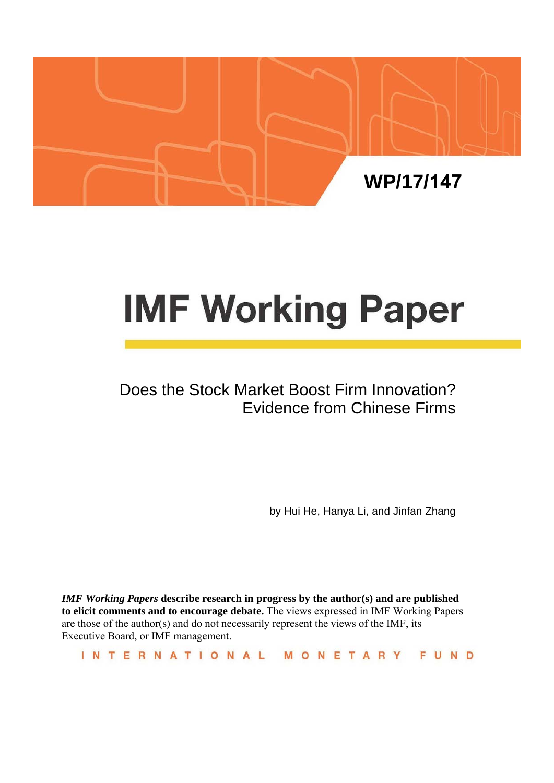

# **IMF Working Paper**

## Does the Stock Market Boost Firm Innovation? Evidence from Chinese Firms

by Hui He, Hanya Li, and Jinfan Zhang

*IMF Working Papers* **describe research in progress by the author(s) and are published to elicit comments and to encourage debate.** The views expressed in IMF Working Papers are those of the author(s) and do not necessarily represent the views of the IMF, its Executive Board, or IMF management.

INTERNATIONAL MONETARY FUND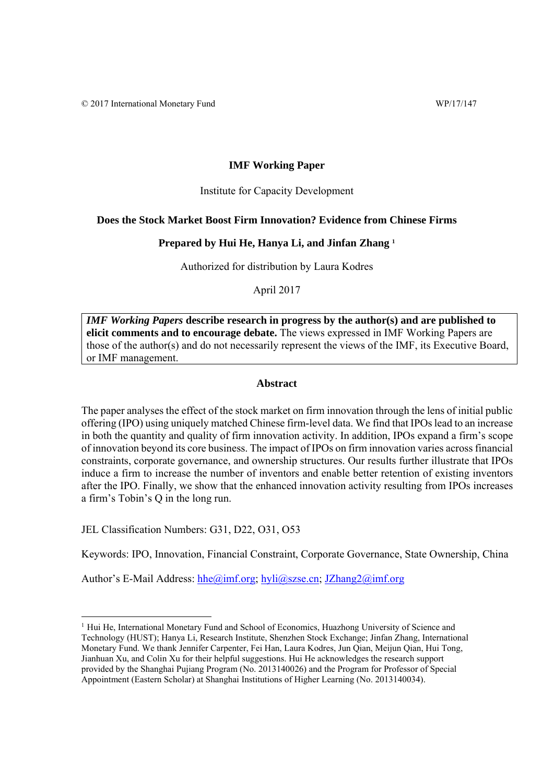#### **IMF Working Paper**

#### Institute for Capacity Development

#### **Does the Stock Market Boost Firm Innovation? Evidence from Chinese Firms**

#### **Prepared by Hui He, Hanya Li, and Jinfan Zhang 1**

Authorized for distribution by Laura Kodres

April 2017

*IMF Working Papers* **describe research in progress by the author(s) and are published to elicit comments and to encourage debate.** The views expressed in IMF Working Papers are those of the author(s) and do not necessarily represent the views of the IMF, its Executive Board, or IMF management.

#### **Abstract**

The paper analyses the effect of the stock market on firm innovation through the lens of initial public offering (IPO) using uniquely matched Chinese firm-level data. We find that IPOs lead to an increase in both the quantity and quality of firm innovation activity. In addition, IPOs expand a firm's scope of innovation beyond its core business. The impact of IPOs on firm innovation varies across financial constraints, corporate governance, and ownership structures. Our results further illustrate that IPOs induce a firm to increase the number of inventors and enable better retention of existing inventors after the IPO. Finally, we show that the enhanced innovation activity resulting from IPOs increases a firm's Tobin's Q in the long run.

JEL Classification Numbers: G31, D22, O31, O53

Keywords: IPO, Innovation, Financial Constraint, Corporate Governance, State Ownership, China

Author's E-Mail Address: hhe@imf.org; hyli@szse.cn; JZhang2@imf.org

<sup>&</sup>lt;sup>1</sup> Hui He, International Monetary Fund and School of Economics, Huazhong University of Science and Technology (HUST); Hanya Li, Research Institute, Shenzhen Stock Exchange; Jinfan Zhang, International Monetary Fund. We thank Jennifer Carpenter, Fei Han, Laura Kodres, Jun Qian, Meijun Qian, Hui Tong, Jianhuan Xu, and Colin Xu for their helpful suggestions. Hui He acknowledges the research support provided by the Shanghai Pujiang Program (No. 2013140026) and the Program for Professor of Special Appointment (Eastern Scholar) at Shanghai Institutions of Higher Learning (No. 2013140034).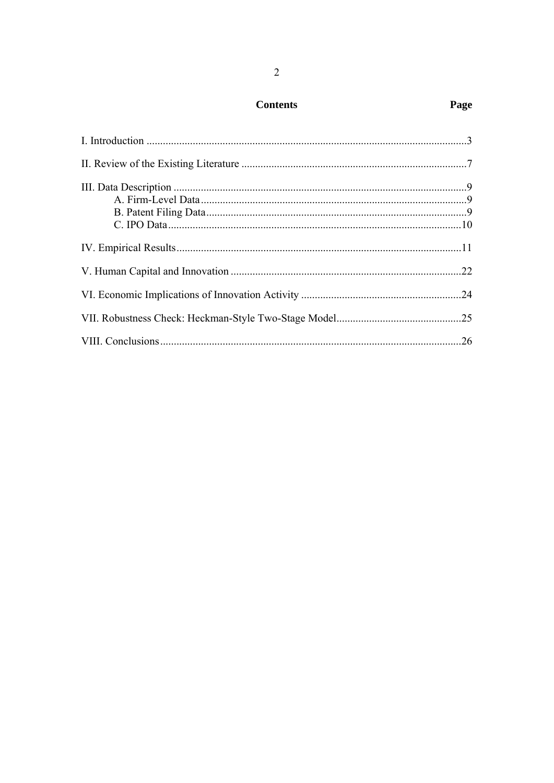| <b>Contents</b> |
|-----------------|
|-----------------|

## Page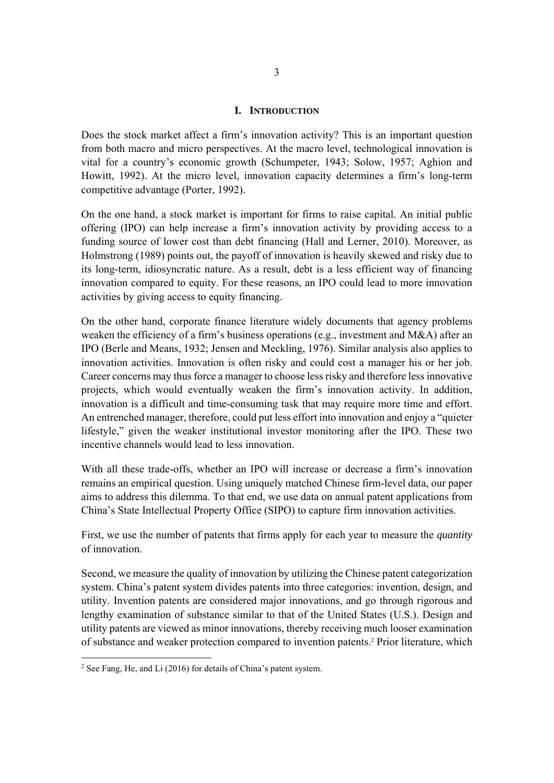#### **I. INTRODUCTION**

Does the stock market affect a firm's innovation activity? This is an important question from both macro and micro perspectives. At the macro level, technological innovation is vital for a country's economic growth (Schumpeter, 1943; Solow, 1957; Aghion and Howitt, 1992). At the micro level, innovation capacity determines a firm's long-term competitive advantage (Porter, 1992).

On the one hand, a stock market is important for firms to raise capital. An initial public offering (IPO) can help increase a firm's innovation activity by providing access to a funding source of lower cost than debt financing (Hall and Lerner, 2010). Moreover, as Holmstrong (1989) points out, the payoff of innovation is heavily skewed and risky due to its long-term, idiosyncratic nature. As a result, debt is a less efficient way of financing innovation compared to equity. For these reasons, an IPO could lead to more innovation activities by giving access to equity financing.

On the other hand, corporate finance literature widely documents that agency problems weaken the efficiency of a firm's business operations (e.g., investment and M&A) after an IPO (Berle and Means, 1932; Jensen and Meckling, 1976). Similar analysis also applies to innovation activities. Innovation is often risky and could cost a manager his or her job. Career concerns may thus force a manager to choose less risky and therefore less innovative projects, which would eventually weaken the firm's innovation activity. In addition, innovation is a difficult and time-consuming task that may require more time and effort. An entrenched manager, therefore, could put less effort into innovation and enjoy a "quieter lifestyle," given the weaker institutional investor monitoring after the IPO. These two incentive channels would lead to less innovation.

With all these trade-offs, whether an IPO will increase or decrease a firm's innovation remains an empirical question. Using uniquely matched Chinese firm-level data, our paper aims to address this dilemma. To that end, we use data on annual patent applications from China's State Intellectual Property Office (SIPO) to capture firm innovation activities.

First, we use the number of patents that firms apply for each year to measure the *quantity* of innovation.

Second, we measure the quality of innovation by utilizing the Chinese patent categorization system. China's patent system divides patents into three categories: invention, design, and utility. Invention patents are considered major innovations, and go through rigorous and lengthy examination of substance similar to that of the United States (U.S.). Design and utility patents are viewed as minor innovations, thereby receiving much looser examination of substance and weaker protection compared to invention patents.2 Prior literature, which

<sup>&</sup>lt;sup>2</sup> See Fang, He, and Li (2016) for details of China's patent system.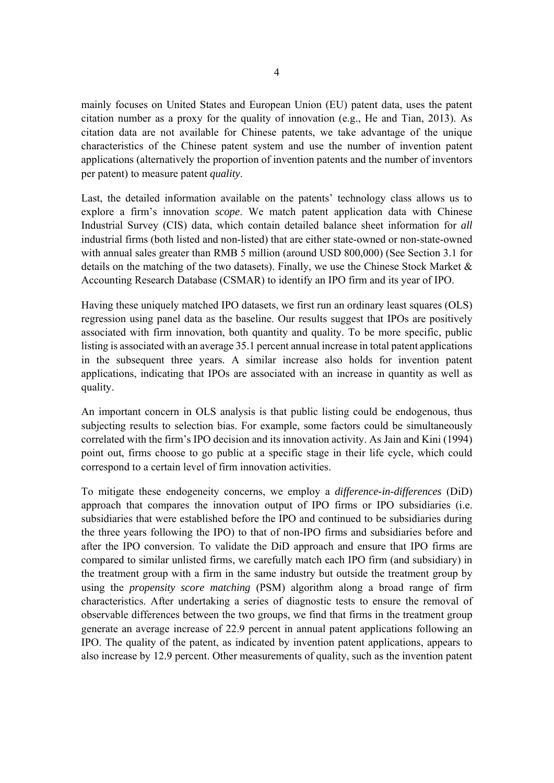mainly focuses on United States and European Union (EU) patent data, uses the patent citation number as a proxy for the quality of innovation (e.g., He and Tian, 2013). As citation data are not available for Chinese patents, we take advantage of the unique characteristics of the Chinese patent system and use the number of invention patent applications (alternatively the proportion of invention patents and the number of inventors per patent) to measure patent *quality*.

Last, the detailed information available on the patents' technology class allows us to explore a firm's innovation *scope*. We match patent application data with Chinese Industrial Survey (CIS) data, which contain detailed balance sheet information for *all* industrial firms (both listed and non-listed) that are either state-owned or non-state-owned with annual sales greater than RMB 5 million (around USD 800,000) (See Section 3.1 for details on the matching of the two datasets). Finally, we use the Chinese Stock Market  $\&$ Accounting Research Database (CSMAR) to identify an IPO firm and its year of IPO.

Having these uniquely matched IPO datasets, we first run an ordinary least squares (OLS) regression using panel data as the baseline. Our results suggest that IPOs are positively associated with firm innovation, both quantity and quality. To be more specific, public listing is associated with an average 35.1 percent annual increase in total patent applications in the subsequent three years. A similar increase also holds for invention patent applications, indicating that IPOs are associated with an increase in quantity as well as quality.

An important concern in OLS analysis is that public listing could be endogenous, thus subjecting results to selection bias. For example, some factors could be simultaneously correlated with the firm's IPO decision and its innovation activity. As Jain and Kini (1994) point out, firms choose to go public at a specific stage in their life cycle, which could correspond to a certain level of firm innovation activities.

To mitigate these endogeneity concerns, we employ a *difference-in-differences* (DiD) approach that compares the innovation output of IPO firms or IPO subsidiaries (i.e. subsidiaries that were established before the IPO and continued to be subsidiaries during the three years following the IPO) to that of non-IPO firms and subsidiaries before and after the IPO conversion. To validate the DiD approach and ensure that IPO firms are compared to similar unlisted firms, we carefully match each IPO firm (and subsidiary) in the treatment group with a firm in the same industry but outside the treatment group by using the *propensity score matching* (PSM) algorithm along a broad range of firm characteristics. After undertaking a series of diagnostic tests to ensure the removal of observable differences between the two groups, we find that firms in the treatment group generate an average increase of 22.9 percent in annual patent applications following an IPO. The quality of the patent, as indicated by invention patent applications, appears to also increase by 12.9 percent. Other measurements of quality, such as the invention patent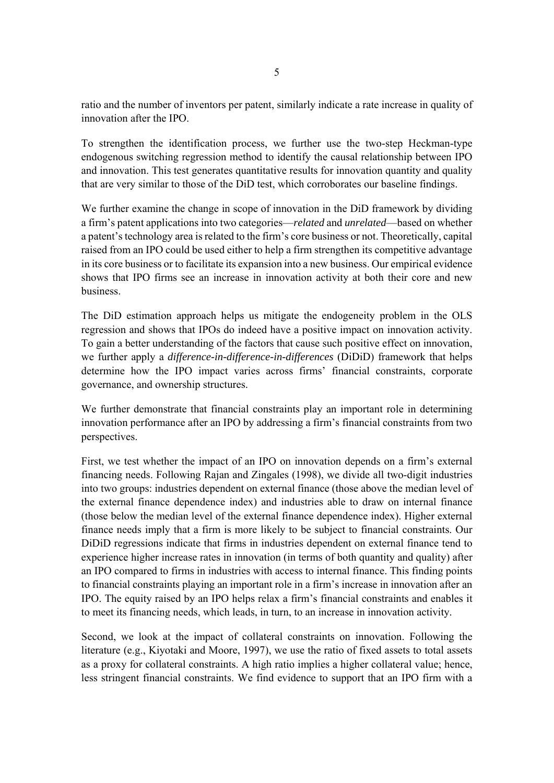ratio and the number of inventors per patent, similarly indicate a rate increase in quality of innovation after the IPO.

To strengthen the identification process, we further use the two-step Heckman-type endogenous switching regression method to identify the causal relationship between IPO and innovation. This test generates quantitative results for innovation quantity and quality that are very similar to those of the DiD test, which corroborates our baseline findings.

We further examine the change in scope of innovation in the DiD framework by dividing a firm's patent applications into two categories—*related* and *unrelated*—based on whether a patent's technology area is related to the firm's core business or not. Theoretically, capital raised from an IPO could be used either to help a firm strengthen its competitive advantage in its core business or to facilitate its expansion into a new business. Our empirical evidence shows that IPO firms see an increase in innovation activity at both their core and new business.

The DiD estimation approach helps us mitigate the endogeneity problem in the OLS regression and shows that IPOs do indeed have a positive impact on innovation activity. To gain a better understanding of the factors that cause such positive effect on innovation, we further apply a *difference-in-difference-in-differences* (DiDiD) framework that helps determine how the IPO impact varies across firms' financial constraints, corporate governance, and ownership structures.

We further demonstrate that financial constraints play an important role in determining innovation performance after an IPO by addressing a firm's financial constraints from two perspectives.

First, we test whether the impact of an IPO on innovation depends on a firm's external financing needs. Following Rajan and Zingales (1998), we divide all two-digit industries into two groups: industries dependent on external finance (those above the median level of the external finance dependence index) and industries able to draw on internal finance (those below the median level of the external finance dependence index). Higher external finance needs imply that a firm is more likely to be subject to financial constraints. Our DiDiD regressions indicate that firms in industries dependent on external finance tend to experience higher increase rates in innovation (in terms of both quantity and quality) after an IPO compared to firms in industries with access to internal finance. This finding points to financial constraints playing an important role in a firm's increase in innovation after an IPO. The equity raised by an IPO helps relax a firm's financial constraints and enables it to meet its financing needs, which leads, in turn, to an increase in innovation activity.

Second, we look at the impact of collateral constraints on innovation. Following the literature (e.g., Kiyotaki and Moore, 1997), we use the ratio of fixed assets to total assets as a proxy for collateral constraints. A high ratio implies a higher collateral value; hence, less stringent financial constraints. We find evidence to support that an IPO firm with a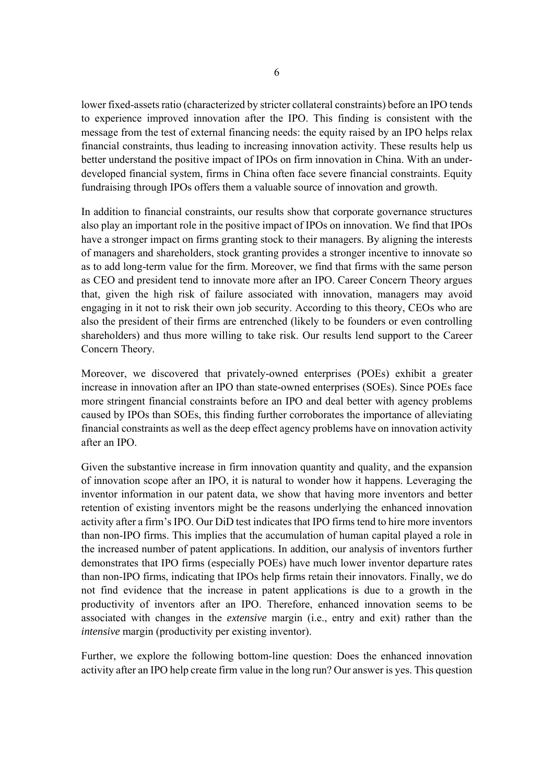lower fixed-assets ratio (characterized by stricter collateral constraints) before an IPO tends to experience improved innovation after the IPO. This finding is consistent with the message from the test of external financing needs: the equity raised by an IPO helps relax financial constraints, thus leading to increasing innovation activity. These results help us better understand the positive impact of IPOs on firm innovation in China. With an underdeveloped financial system, firms in China often face severe financial constraints. Equity fundraising through IPOs offers them a valuable source of innovation and growth.

In addition to financial constraints, our results show that corporate governance structures also play an important role in the positive impact of IPOs on innovation. We find that IPOs have a stronger impact on firms granting stock to their managers. By aligning the interests of managers and shareholders, stock granting provides a stronger incentive to innovate so as to add long-term value for the firm. Moreover, we find that firms with the same person as CEO and president tend to innovate more after an IPO. Career Concern Theory argues that, given the high risk of failure associated with innovation, managers may avoid engaging in it not to risk their own job security. According to this theory, CEOs who are also the president of their firms are entrenched (likely to be founders or even controlling shareholders) and thus more willing to take risk. Our results lend support to the Career Concern Theory.

Moreover, we discovered that privately-owned enterprises (POEs) exhibit a greater increase in innovation after an IPO than state-owned enterprises (SOEs). Since POEs face more stringent financial constraints before an IPO and deal better with agency problems caused by IPOs than SOEs, this finding further corroborates the importance of alleviating financial constraints as well as the deep effect agency problems have on innovation activity after an IPO.

Given the substantive increase in firm innovation quantity and quality, and the expansion of innovation scope after an IPO, it is natural to wonder how it happens. Leveraging the inventor information in our patent data, we show that having more inventors and better retention of existing inventors might be the reasons underlying the enhanced innovation activity after a firm's IPO. Our DiD test indicates that IPO firms tend to hire more inventors than non-IPO firms. This implies that the accumulation of human capital played a role in the increased number of patent applications. In addition, our analysis of inventors further demonstrates that IPO firms (especially POEs) have much lower inventor departure rates than non-IPO firms, indicating that IPOs help firms retain their innovators. Finally, we do not find evidence that the increase in patent applications is due to a growth in the productivity of inventors after an IPO. Therefore, enhanced innovation seems to be associated with changes in the *extensive* margin (i.e., entry and exit) rather than the *intensive* margin (productivity per existing inventor).

Further, we explore the following bottom-line question: Does the enhanced innovation activity after an IPO help create firm value in the long run? Our answer is yes. This question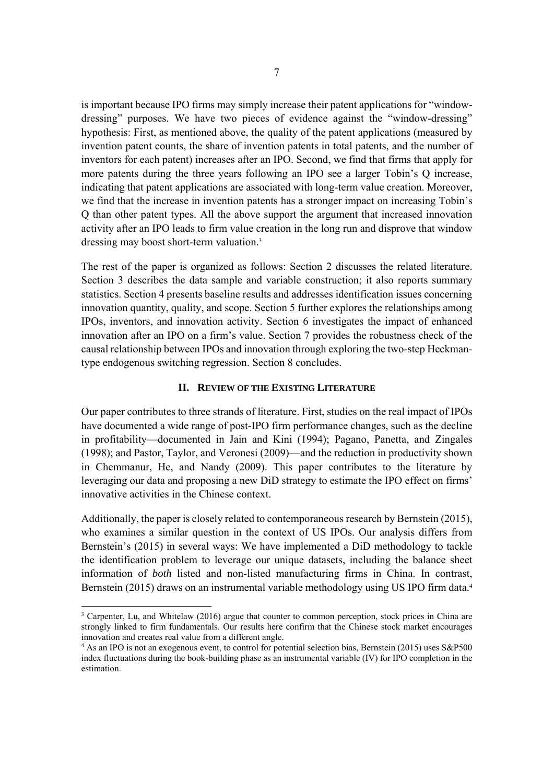is important because IPO firms may simply increase their patent applications for "windowdressing" purposes. We have two pieces of evidence against the "window-dressing" hypothesis: First, as mentioned above, the quality of the patent applications (measured by invention patent counts, the share of invention patents in total patents, and the number of inventors for each patent) increases after an IPO. Second, we find that firms that apply for more patents during the three years following an IPO see a larger Tobin's Q increase, indicating that patent applications are associated with long-term value creation. Moreover, we find that the increase in invention patents has a stronger impact on increasing Tobin's Q than other patent types. All the above support the argument that increased innovation activity after an IPO leads to firm value creation in the long run and disprove that window dressing may boost short-term valuation.3

The rest of the paper is organized as follows: Section 2 discusses the related literature. Section 3 describes the data sample and variable construction; it also reports summary statistics. Section 4 presents baseline results and addresses identification issues concerning innovation quantity, quality, and scope. Section 5 further explores the relationships among IPOs, inventors, and innovation activity. Section 6 investigates the impact of enhanced innovation after an IPO on a firm's value. Section 7 provides the robustness check of the causal relationship between IPOs and innovation through exploring the two-step Heckmantype endogenous switching regression. Section 8 concludes.

#### **II. REVIEW OF THE EXISTING LITERATURE**

Our paper contributes to three strands of literature. First, studies on the real impact of IPOs have documented a wide range of post-IPO firm performance changes, such as the decline in profitability—documented in Jain and Kini (1994); Pagano, Panetta, and Zingales (1998); and Pastor, Taylor, and Veronesi (2009)—and the reduction in productivity shown in Chemmanur, He, and Nandy (2009). This paper contributes to the literature by leveraging our data and proposing a new DiD strategy to estimate the IPO effect on firms' innovative activities in the Chinese context.

Additionally, the paper is closely related to contemporaneous research by Bernstein (2015), who examines a similar question in the context of US IPOs. Our analysis differs from Bernstein's (2015) in several ways: We have implemented a DiD methodology to tackle the identification problem to leverage our unique datasets, including the balance sheet information of *both* listed and non-listed manufacturing firms in China. In contrast, Bernstein (2015) draws on an instrumental variable methodology using US IPO firm data.<sup>4</sup>

 $\overline{a}$ 

<sup>&</sup>lt;sup>3</sup> Carpenter, Lu, and Whitelaw (2016) argue that counter to common perception, stock prices in China are strongly linked to firm fundamentals. Our results here confirm that the Chinese stock market encourages innovation and creates real value from a different angle.

<sup>4</sup> As an IPO is not an exogenous event, to control for potential selection bias, Bernstein (2015) uses S&P500 index fluctuations during the book-building phase as an instrumental variable (IV) for IPO completion in the estimation.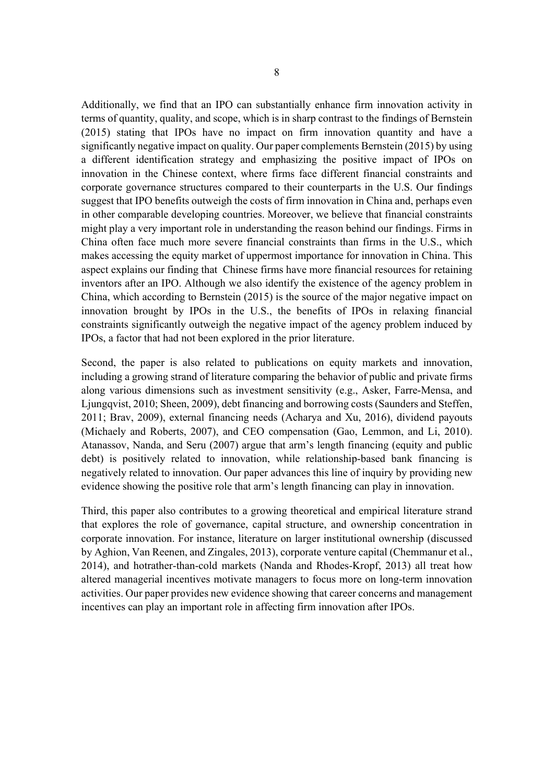Additionally, we find that an IPO can substantially enhance firm innovation activity in terms of quantity, quality, and scope, which is in sharp contrast to the findings of Bernstein (2015) stating that IPOs have no impact on firm innovation quantity and have a significantly negative impact on quality. Our paper complements Bernstein (2015) by using a different identification strategy and emphasizing the positive impact of IPOs on innovation in the Chinese context, where firms face different financial constraints and corporate governance structures compared to their counterparts in the U.S. Our findings suggest that IPO benefits outweigh the costs of firm innovation in China and, perhaps even in other comparable developing countries. Moreover, we believe that financial constraints might play a very important role in understanding the reason behind our findings. Firms in China often face much more severe financial constraints than firms in the U.S., which makes accessing the equity market of uppermost importance for innovation in China. This aspect explains our finding that Chinese firms have more financial resources for retaining inventors after an IPO. Although we also identify the existence of the agency problem in China, which according to Bernstein (2015) is the source of the major negative impact on innovation brought by IPOs in the U.S., the benefits of IPOs in relaxing financial constraints significantly outweigh the negative impact of the agency problem induced by IPOs, a factor that had not been explored in the prior literature.

Second, the paper is also related to publications on equity markets and innovation, including a growing strand of literature comparing the behavior of public and private firms along various dimensions such as investment sensitivity (e.g., Asker, Farre-Mensa, and Ljungqvist, 2010; Sheen, 2009), debt financing and borrowing costs (Saunders and Steffen, 2011; Brav, 2009), external financing needs (Acharya and Xu, 2016), dividend payouts (Michaely and Roberts, 2007), and CEO compensation (Gao, Lemmon, and Li, 2010). Atanassov, Nanda, and Seru (2007) argue that arm's length financing (equity and public debt) is positively related to innovation, while relationship-based bank financing is negatively related to innovation. Our paper advances this line of inquiry by providing new evidence showing the positive role that arm's length financing can play in innovation.

Third, this paper also contributes to a growing theoretical and empirical literature strand that explores the role of governance, capital structure, and ownership concentration in corporate innovation. For instance, literature on larger institutional ownership (discussed by Aghion, Van Reenen, and Zingales, 2013), corporate venture capital (Chemmanur et al., 2014), and hotrather-than-cold markets (Nanda and Rhodes-Kropf, 2013) all treat how altered managerial incentives motivate managers to focus more on long-term innovation activities. Our paper provides new evidence showing that career concerns and management incentives can play an important role in affecting firm innovation after IPOs.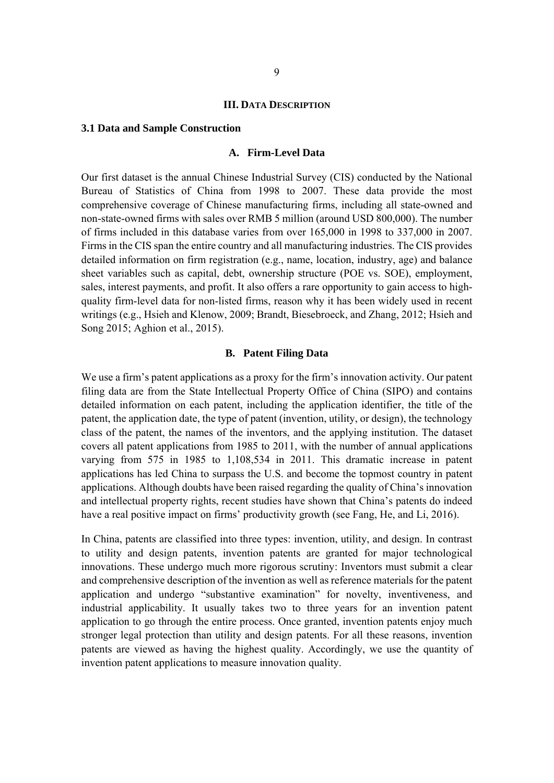#### **III. DATA DESCRIPTION**

#### **3.1 Data and Sample Construction**

#### **A. Firm-Level Data**

Our first dataset is the annual Chinese Industrial Survey (CIS) conducted by the National Bureau of Statistics of China from 1998 to 2007. These data provide the most comprehensive coverage of Chinese manufacturing firms, including all state-owned and non-state-owned firms with sales over RMB 5 million (around USD 800,000). The number of firms included in this database varies from over 165,000 in 1998 to 337,000 in 2007. Firms in the CIS span the entire country and all manufacturing industries. The CIS provides detailed information on firm registration (e.g., name, location, industry, age) and balance sheet variables such as capital, debt, ownership structure (POE vs. SOE), employment, sales, interest payments, and profit. It also offers a rare opportunity to gain access to highquality firm-level data for non-listed firms, reason why it has been widely used in recent writings (e.g., Hsieh and Klenow, 2009; Brandt, Biesebroeck, and Zhang, 2012; Hsieh and Song 2015; Aghion et al., 2015).

#### **B. Patent Filing Data**

We use a firm's patent applications as a proxy for the firm's innovation activity. Our patent filing data are from the State Intellectual Property Office of China (SIPO) and contains detailed information on each patent, including the application identifier, the title of the patent, the application date, the type of patent (invention, utility, or design), the technology class of the patent, the names of the inventors, and the applying institution. The dataset covers all patent applications from 1985 to 2011, with the number of annual applications varying from 575 in 1985 to 1,108,534 in 2011. This dramatic increase in patent applications has led China to surpass the U.S. and become the topmost country in patent applications. Although doubts have been raised regarding the quality of China's innovation and intellectual property rights, recent studies have shown that China's patents do indeed have a real positive impact on firms' productivity growth (see Fang, He, and Li, 2016).

In China, patents are classified into three types: invention, utility, and design. In contrast to utility and design patents, invention patents are granted for major technological innovations. These undergo much more rigorous scrutiny: Inventors must submit a clear and comprehensive description of the invention as well as reference materials for the patent application and undergo "substantive examination" for novelty, inventiveness, and industrial applicability. It usually takes two to three years for an invention patent application to go through the entire process. Once granted, invention patents enjoy much stronger legal protection than utility and design patents. For all these reasons, invention patents are viewed as having the highest quality. Accordingly, we use the quantity of invention patent applications to measure innovation quality.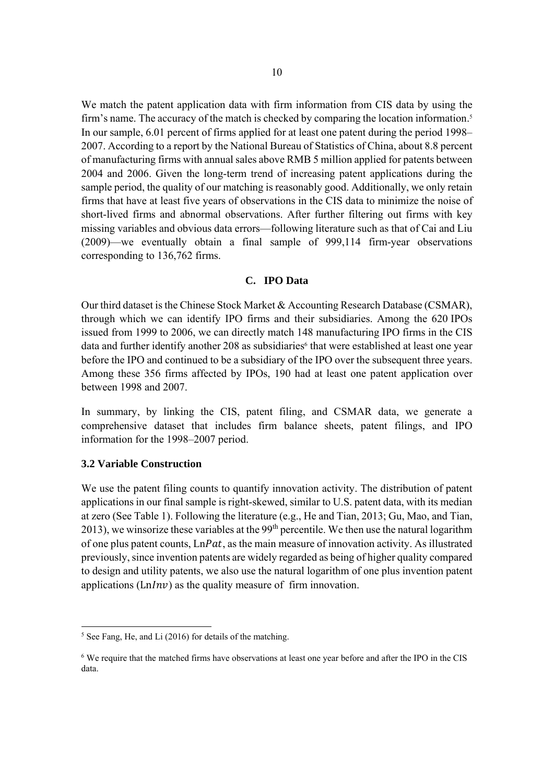We match the patent application data with firm information from CIS data by using the firm's name. The accuracy of the match is checked by comparing the location information.<sup>5</sup> In our sample, 6.01 percent of firms applied for at least one patent during the period 1998– 2007. According to a report by the National Bureau of Statistics of China, about 8.8 percent of manufacturing firms with annual sales above RMB 5 million applied for patents between 2004 and 2006. Given the long-term trend of increasing patent applications during the sample period, the quality of our matching is reasonably good. Additionally, we only retain firms that have at least five years of observations in the CIS data to minimize the noise of short-lived firms and abnormal observations. After further filtering out firms with key missing variables and obvious data errors—following literature such as that of Cai and Liu (2009)—we eventually obtain a final sample of 999,114 firm-year observations corresponding to 136,762 firms.

#### **C. IPO Data**

Our third dataset is the Chinese Stock Market & Accounting Research Database (CSMAR), through which we can identify IPO firms and their subsidiaries. Among the 620 IPOs issued from 1999 to 2006, we can directly match 148 manufacturing IPO firms in the CIS data and further identify another 208 as subsidiaries<sup>6</sup> that were established at least one year before the IPO and continued to be a subsidiary of the IPO over the subsequent three years. Among these 356 firms affected by IPOs, 190 had at least one patent application over between 1998 and 2007.

In summary, by linking the CIS, patent filing, and CSMAR data, we generate a comprehensive dataset that includes firm balance sheets, patent filings, and IPO information for the 1998–2007 period.

#### **3.2 Variable Construction**

-

We use the patent filing counts to quantify innovation activity. The distribution of patent applications in our final sample is right-skewed, similar to U.S. patent data, with its median at zero (See Table 1). Following the literature (e.g., He and Tian, 2013; Gu, Mao, and Tian, 2013), we winsorize these variables at the  $99<sup>th</sup>$  percentile. We then use the natural logarithm of one plus patent counts,  $LnPat$ , as the main measure of innovation activity. As illustrated previously, since invention patents are widely regarded as being of higher quality compared to design and utility patents, we also use the natural logarithm of one plus invention patent applications ( $\text{Ln} \text{Inv}$ ) as the quality measure of firm innovation.

<sup>5</sup> See Fang, He, and Li (2016) for details of the matching.

<sup>&</sup>lt;sup>6</sup> We require that the matched firms have observations at least one year before and after the IPO in the CIS data.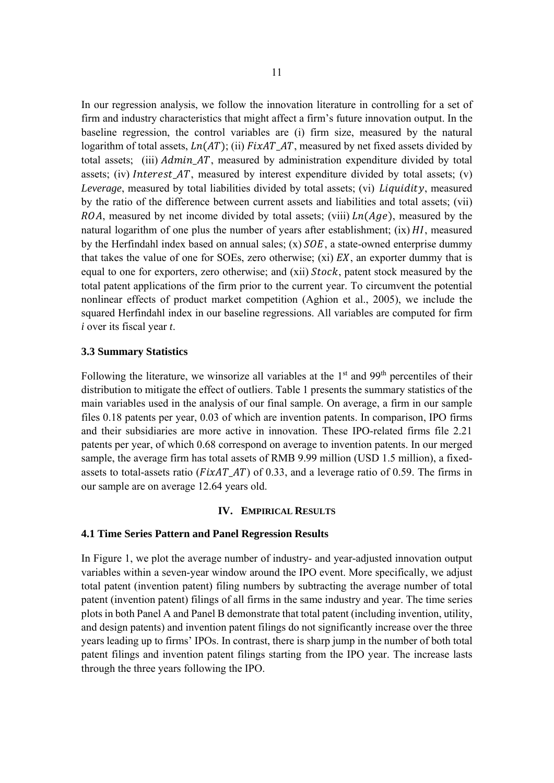In our regression analysis, we follow the innovation literature in controlling for a set of firm and industry characteristics that might affect a firm's future innovation output. In the baseline regression, the control variables are (i) firm size, measured by the natural logarithm of total assets,  $Ln(AT)$ ; (ii)  $FixAT_ATT$ , measured by net fixed assets divided by total assets; (iii) *Admin AT*, measured by administration expenditure divided by total assets; (iv) Interest\_AT, measured by interest expenditure divided by total assets; (v) *Leverage*, measured by total liabilities divided by total assets; (vi) *Liquidity*, measured by the ratio of the difference between current assets and liabilities and total assets; (vii) ROA, measured by net income divided by total assets; (viii)  $Ln(Age)$ , measured by the natural logarithm of one plus the number of years after establishment;  $(ix) HI$ , measured by the Herfindahl index based on annual sales;  $(x)$   $SOE$ , a state-owned enterprise dummy that takes the value of one for SOEs, zero otherwise; (xi)  $EX$ , an exporter dummy that is equal to one for exporters, zero otherwise; and (xii) *Stock*, patent stock measured by the total patent applications of the firm prior to the current year. To circumvent the potential nonlinear effects of product market competition (Aghion et al., 2005), we include the squared Herfindahl index in our baseline regressions. All variables are computed for firm *i* over its fiscal year *t*.

#### **3.3 Summary Statistics**

Following the literature, we winsorize all variables at the  $1<sup>st</sup>$  and  $99<sup>th</sup>$  percentiles of their distribution to mitigate the effect of outliers. Table 1 presents the summary statistics of the main variables used in the analysis of our final sample. On average, a firm in our sample files 0.18 patents per year, 0.03 of which are invention patents. In comparison, IPO firms and their subsidiaries are more active in innovation. These IPO-related firms file 2.21 patents per year, of which 0.68 correspond on average to invention patents. In our merged sample, the average firm has total assets of RMB 9.99 million (USD 1.5 million), a fixedassets to total-assets ratio ( $FixAT_A$ *AT*) of 0.33, and a leverage ratio of 0.59. The firms in our sample are on average 12.64 years old.

#### **IV. EMPIRICAL RESULTS**

#### **4.1 Time Series Pattern and Panel Regression Results**

In Figure 1, we plot the average number of industry- and year-adjusted innovation output variables within a seven-year window around the IPO event. More specifically, we adjust total patent (invention patent) filing numbers by subtracting the average number of total patent (invention patent) filings of all firms in the same industry and year. The time series plots in both Panel A and Panel B demonstrate that total patent (including invention, utility, and design patents) and invention patent filings do not significantly increase over the three years leading up to firms' IPOs. In contrast, there is sharp jump in the number of both total patent filings and invention patent filings starting from the IPO year. The increase lasts through the three years following the IPO.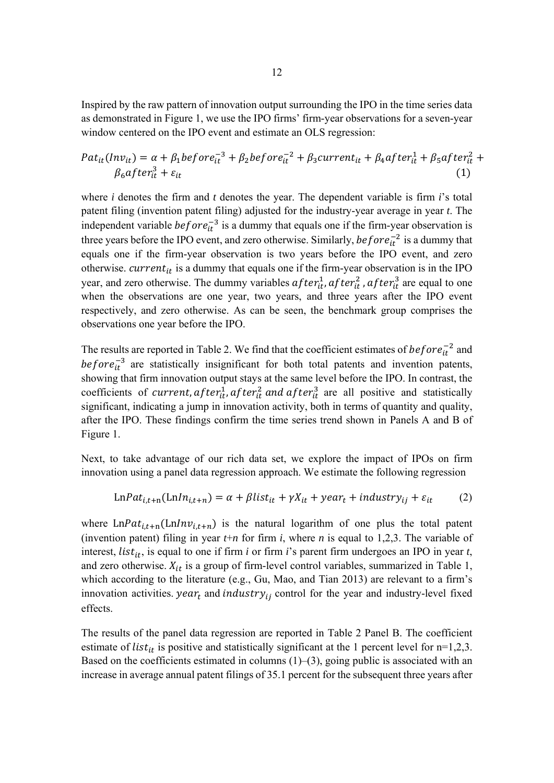Inspired by the raw pattern of innovation output surrounding the IPO in the time series data as demonstrated in Figure 1, we use the IPO firms' firm-year observations for a seven-year window centered on the IPO event and estimate an OLS regression:

$$
Pat_{it}(Inv_{it}) = \alpha + \beta_1 before_{it}^{-3} + \beta_2 before_{it}^{-2} + \beta_3 current_{it} + \beta_4 after_{it}^1 + \beta_5 after_{it}^2 + \beta_6 after_{it}^3 + \varepsilon_{it}
$$
\n(1)

where *i* denotes the firm and *t* denotes the year. The dependent variable is firm *i*'s total patent filing (invention patent filing) adjusted for the industry-year average in year *t*. The independent variable  $before_{it}^{-3}$  is a dummy that equals one if the firm-year observation is three years before the IPO event, and zero otherwise. Similarly,  $before_{it}^{-2}$  is a dummy that equals one if the firm-year observation is two years before the IPO event, and zero otherwise. *current<sub>it</sub>* is a dummy that equals one if the firm-year observation is in the IPO year, and zero otherwise. The dummy variables  $after_{it}^1, after_{it}^2, after_{it}^3$  are equal to one when the observations are one year, two years, and three years after the IPO event respectively, and zero otherwise. As can be seen, the benchmark group comprises the observations one year before the IPO.

The results are reported in Table 2. We find that the coefficient estimates of  $before_{it}^{-2}$  and before $\bar{i}$  are statistically insignificant for both total patents and invention patents, showing that firm innovation output stays at the same level before the IPO. In contrast, the coefficients of current,  $after_{it}^1$ ,  $after_{it}^2$  and  $after_{it}^3$  are all positive and statistically significant, indicating a jump in innovation activity, both in terms of quantity and quality, after the IPO. These findings confirm the time series trend shown in Panels A and B of Figure 1.

Next, to take advantage of our rich data set, we explore the impact of IPOs on firm innovation using a panel data regression approach. We estimate the following regression

$$
LnPat_{i,t+n}(LnIn_{i,t+n}) = \alpha + \beta list_{it} + \gamma X_{it} + year_t + industry_{ij} + \varepsilon_{it}
$$
 (2)

where  $LnPat_{i,t+n}(LnInv_{i,t+n})$  is the natural logarithm of one plus the total patent (invention patent) filing in year  $t+n$  for firm  $i$ , where  $n$  is equal to 1,2,3. The variable of interest, *list<sub>it</sub>*, is equal to one if firm *i* or firm *i*'s parent firm undergoes an IPO in year *t*, and zero otherwise.  $X_{it}$  is a group of firm-level control variables, summarized in Table 1, which according to the literature (e.g., Gu, Mao, and Tian 2013) are relevant to a firm's innovation activities.  $year_t$  and  $industry_{ij}$  control for the year and industry-level fixed effects.

The results of the panel data regression are reported in Table 2 Panel B. The coefficient estimate of *list<sub>it</sub>* is positive and statistically significant at the 1 percent level for  $n=1,2,3$ . Based on the coefficients estimated in columns  $(1)$ – $(3)$ , going public is associated with an increase in average annual patent filings of 35.1 percent for the subsequent three years after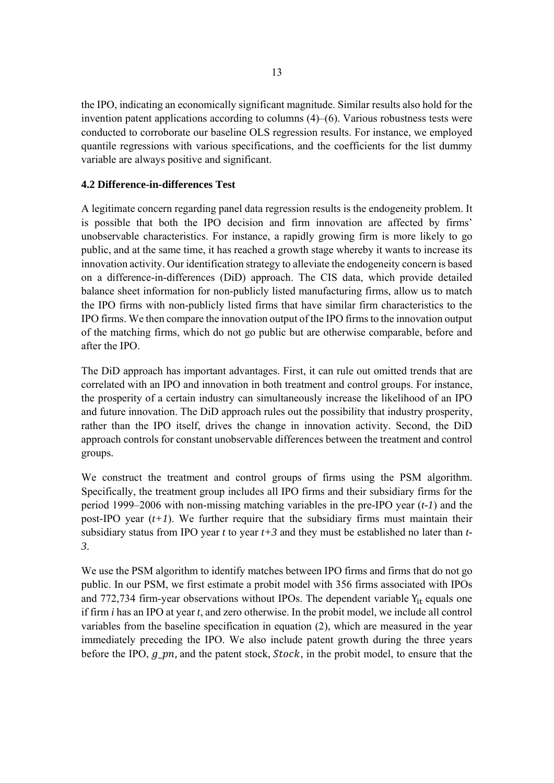the IPO, indicating an economically significant magnitude. Similar results also hold for the invention patent applications according to columns (4)–(6). Various robustness tests were conducted to corroborate our baseline OLS regression results. For instance, we employed quantile regressions with various specifications, and the coefficients for the list dummy variable are always positive and significant.

#### **4.2 Difference-in-differences Test**

A legitimate concern regarding panel data regression results is the endogeneity problem. It is possible that both the IPO decision and firm innovation are affected by firms' unobservable characteristics. For instance, a rapidly growing firm is more likely to go public, and at the same time, it has reached a growth stage whereby it wants to increase its innovation activity. Our identification strategy to alleviate the endogeneity concern is based on a difference-in-differences (DiD) approach. The CIS data, which provide detailed balance sheet information for non-publicly listed manufacturing firms, allow us to match the IPO firms with non-publicly listed firms that have similar firm characteristics to the IPO firms. We then compare the innovation output of the IPO firms to the innovation output of the matching firms, which do not go public but are otherwise comparable, before and after the IPO.

The DiD approach has important advantages. First, it can rule out omitted trends that are correlated with an IPO and innovation in both treatment and control groups. For instance, the prosperity of a certain industry can simultaneously increase the likelihood of an IPO and future innovation. The DiD approach rules out the possibility that industry prosperity, rather than the IPO itself, drives the change in innovation activity. Second, the DiD approach controls for constant unobservable differences between the treatment and control groups.

We construct the treatment and control groups of firms using the PSM algorithm. Specifically, the treatment group includes all IPO firms and their subsidiary firms for the period 1999–2006 with non-missing matching variables in the pre-IPO year (*t-1*) and the post-IPO year  $(t+1)$ . We further require that the subsidiary firms must maintain their subsidiary status from IPO year *t* to year *t+3* and they must be established no later than *t-3*.

We use the PSM algorithm to identify matches between IPO firms and firms that do not go public. In our PSM, we first estimate a probit model with 356 firms associated with IPOs and 772,734 firm-year observations without IPOs. The dependent variable  $Y_{it}$  equals one if firm *i* has an IPO at year *t*, and zero otherwise. In the probit model, we include all control variables from the baseline specification in equation (2), which are measured in the year immediately preceding the IPO. We also include patent growth during the three years before the IPO,  $g\_pn$ , and the patent stock, *Stock*, in the probit model, to ensure that the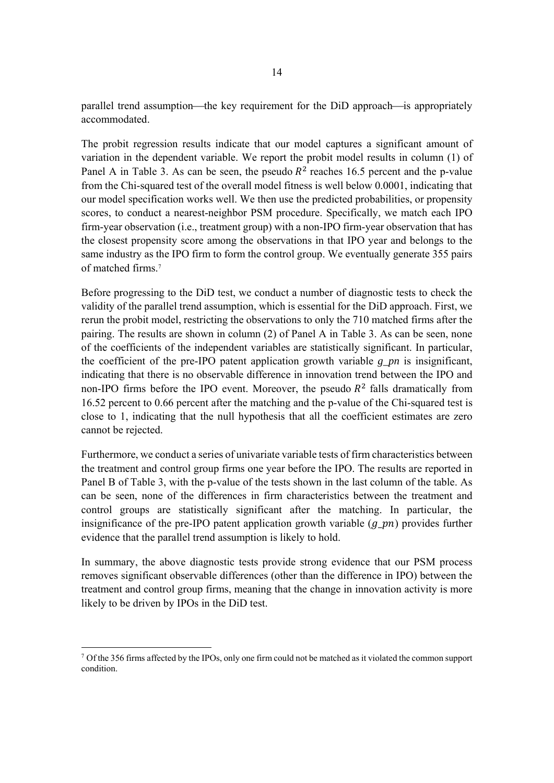parallel trend assumption—the key requirement for the DiD approach—is appropriately accommodated.

The probit regression results indicate that our model captures a significant amount of variation in the dependent variable. We report the probit model results in column (1) of Panel A in Table 3. As can be seen, the pseudo  $R<sup>2</sup>$  reaches 16.5 percent and the p-value from the Chi-squared test of the overall model fitness is well below 0.0001, indicating that our model specification works well. We then use the predicted probabilities, or propensity scores, to conduct a nearest-neighbor PSM procedure. Specifically, we match each IPO firm-year observation (i.e., treatment group) with a non-IPO firm-year observation that has the closest propensity score among the observations in that IPO year and belongs to the same industry as the IPO firm to form the control group. We eventually generate 355 pairs of matched firms<sup>7</sup>

Before progressing to the DiD test, we conduct a number of diagnostic tests to check the validity of the parallel trend assumption, which is essential for the DiD approach. First, we rerun the probit model, restricting the observations to only the 710 matched firms after the pairing. The results are shown in column (2) of Panel A in Table 3. As can be seen, none of the coefficients of the independent variables are statistically significant. In particular, the coefficient of the pre-IPO patent application growth variable *g\_pn* is insignificant, indicating that there is no observable difference in innovation trend between the IPO and non-IPO firms before the IPO event. Moreover, the pseudo  $R<sup>2</sup>$  falls dramatically from 16.52 percent to 0.66 percent after the matching and the p-value of the Chi-squared test is close to 1, indicating that the null hypothesis that all the coefficient estimates are zero cannot be rejected.

Furthermore, we conduct a series of univariate variable tests of firm characteristics between the treatment and control group firms one year before the IPO. The results are reported in Panel B of Table 3, with the p-value of the tests shown in the last column of the table. As can be seen, none of the differences in firm characteristics between the treatment and control groups are statistically significant after the matching. In particular, the insignificance of the pre-IPO patent application growth variable  $(g\_ pn)$  provides further evidence that the parallel trend assumption is likely to hold.

In summary, the above diagnostic tests provide strong evidence that our PSM process removes significant observable differences (other than the difference in IPO) between the treatment and control group firms, meaning that the change in innovation activity is more likely to be driven by IPOs in the DiD test.

-

<sup>&</sup>lt;sup>7</sup> Of the 356 firms affected by the IPOs, only one firm could not be matched as it violated the common support condition.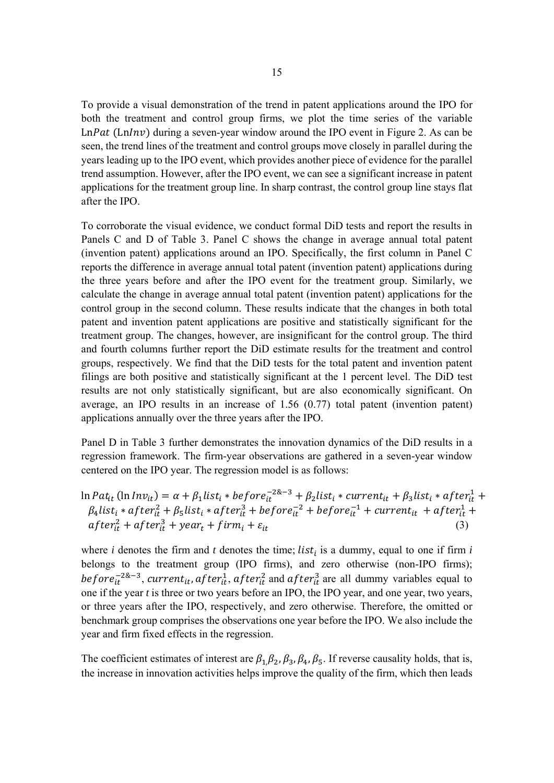To provide a visual demonstration of the trend in patent applications around the IPO for both the treatment and control group firms, we plot the time series of the variable  $LnPat$  ( $LnInv$ ) during a seven-year window around the IPO event in Figure 2. As can be seen, the trend lines of the treatment and control groups move closely in parallel during the years leading up to the IPO event, which provides another piece of evidence for the parallel trend assumption. However, after the IPO event, we can see a significant increase in patent applications for the treatment group line. In sharp contrast, the control group line stays flat after the IPO.

To corroborate the visual evidence, we conduct formal DiD tests and report the results in Panels C and D of Table 3. Panel C shows the change in average annual total patent (invention patent) applications around an IPO. Specifically, the first column in Panel C reports the difference in average annual total patent (invention patent) applications during the three years before and after the IPO event for the treatment group. Similarly, we calculate the change in average annual total patent (invention patent) applications for the control group in the second column. These results indicate that the changes in both total patent and invention patent applications are positive and statistically significant for the treatment group. The changes, however, are insignificant for the control group. The third and fourth columns further report the DiD estimate results for the treatment and control groups, respectively. We find that the DiD tests for the total patent and invention patent filings are both positive and statistically significant at the 1 percent level. The DiD test results are not only statistically significant, but are also economically significant. On average, an IPO results in an increase of 1.56 (0.77) total patent (invention patent) applications annually over the three years after the IPO.

Panel D in Table 3 further demonstrates the innovation dynamics of the DiD results in a regression framework. The firm-year observations are gathered in a seven-year window centered on the IPO year. The regression model is as follows:

$$
\ln Pat_{it}(\ln Inv_{it}) = \alpha + \beta_1 list_i * before_{it}^{-2\&-3} + \beta_2 list_i * current_{it} + \beta_3 list_i * after_{it}^1 + \beta_4 list_i * after_{it}^2 + \beta_5 list_i * after_{it}^3 + before_{it}^{-2} + before_{it}^{-1} + current_{it} + after_{it}^1 + after_{it}^2 + after_{it}^3 + year_t + firm_t + \varepsilon_{it}
$$
\n(3)

where *i* denotes the firm and *t* denotes the time; *list<sub>i</sub>* is a dummy, equal to one if firm *i* belongs to the treatment group (IPO firms), and zero otherwise (non-IPO firms); before $\bar{t}^{2\&-3}$ , current<sub>it</sub>, after<sub>it</sub>, after<sub>it</sub> and after<sub>it</sub> are all dummy variables equal to one if the year *t* is three or two years before an IPO, the IPO year, and one year, two years, or three years after the IPO, respectively, and zero otherwise. Therefore, the omitted or benchmark group comprises the observations one year before the IPO. We also include the year and firm fixed effects in the regression.

The coefficient estimates of interest are  $\beta_1 \beta_2$ ,  $\beta_3$ ,  $\beta_4$ ,  $\beta_5$ . If reverse causality holds, that is, the increase in innovation activities helps improve the quality of the firm, which then leads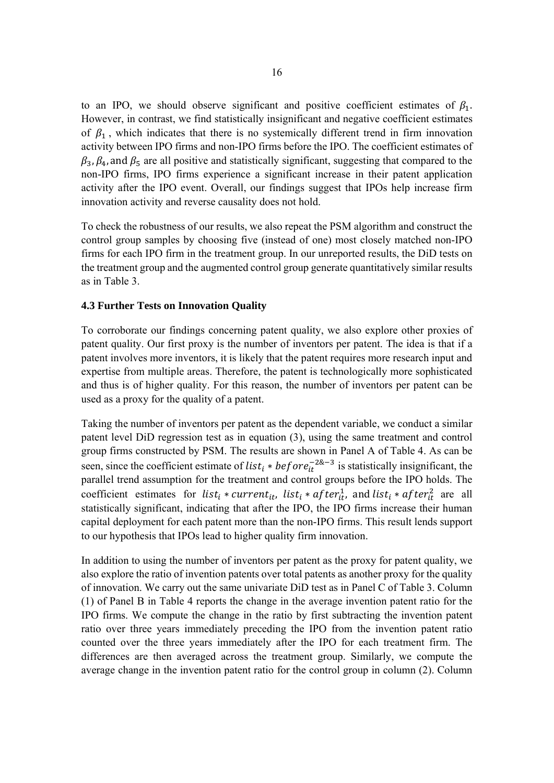to an IPO, we should observe significant and positive coefficient estimates of  $\beta_1$ . However, in contrast, we find statistically insignificant and negative coefficient estimates of  $\beta_1$ , which indicates that there is no systemically different trend in firm innovation activity between IPO firms and non-IPO firms before the IPO. The coefficient estimates of  $\beta_3$ ,  $\beta_4$ , and  $\beta_5$  are all positive and statistically significant, suggesting that compared to the non-IPO firms, IPO firms experience a significant increase in their patent application activity after the IPO event. Overall, our findings suggest that IPOs help increase firm innovation activity and reverse causality does not hold.

To check the robustness of our results, we also repeat the PSM algorithm and construct the control group samples by choosing five (instead of one) most closely matched non-IPO firms for each IPO firm in the treatment group. In our unreported results, the DiD tests on the treatment group and the augmented control group generate quantitatively similar results as in Table 3.

#### **4.3 Further Tests on Innovation Quality**

To corroborate our findings concerning patent quality, we also explore other proxies of patent quality. Our first proxy is the number of inventors per patent. The idea is that if a patent involves more inventors, it is likely that the patent requires more research input and expertise from multiple areas. Therefore, the patent is technologically more sophisticated and thus is of higher quality. For this reason, the number of inventors per patent can be used as a proxy for the quality of a patent.

Taking the number of inventors per patent as the dependent variable, we conduct a similar patent level DiD regression test as in equation (3), using the same treatment and control group firms constructed by PSM. The results are shown in Panel A of Table 4. As can be seen, since the coefficient estimate of list<sub>i</sub> \* before<sub>it</sub><sup>2&-3</sup> is statistically insignificant, the parallel trend assumption for the treatment and control groups before the IPO holds. The coefficient estimates for list<sub>i</sub> \* current<sub>it</sub>, list<sub>i</sub> \* after<sub>it</sub>, and list<sub>i</sub> \* after<sub>it</sub> are all statistically significant, indicating that after the IPO, the IPO firms increase their human capital deployment for each patent more than the non-IPO firms. This result lends support to our hypothesis that IPOs lead to higher quality firm innovation.

In addition to using the number of inventors per patent as the proxy for patent quality, we also explore the ratio of invention patents over total patents as another proxy for the quality of innovation. We carry out the same univariate DiD test as in Panel C of Table 3. Column (1) of Panel B in Table 4 reports the change in the average invention patent ratio for the IPO firms. We compute the change in the ratio by first subtracting the invention patent ratio over three years immediately preceding the IPO from the invention patent ratio counted over the three years immediately after the IPO for each treatment firm. The differences are then averaged across the treatment group. Similarly, we compute the average change in the invention patent ratio for the control group in column (2). Column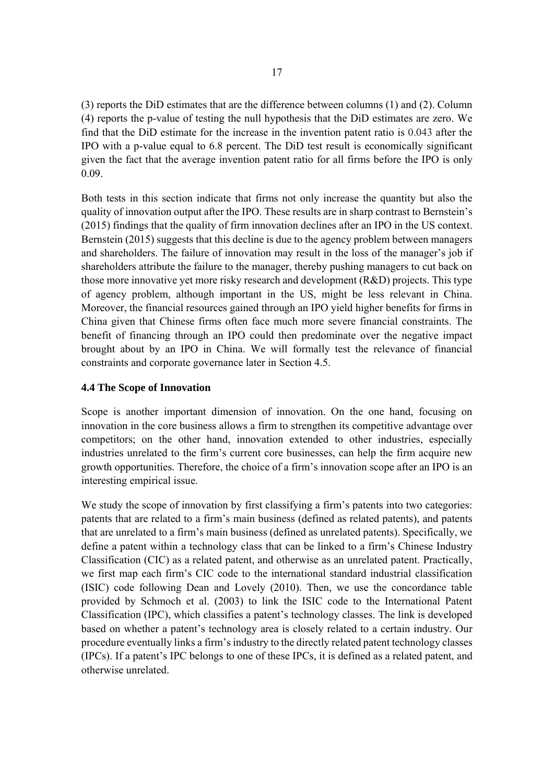(3) reports the DiD estimates that are the difference between columns (1) and (2). Column (4) reports the p-value of testing the null hypothesis that the DiD estimates are zero. We find that the DiD estimate for the increase in the invention patent ratio is 0.043 after the IPO with a p-value equal to 6.8 percent. The DiD test result is economically significant given the fact that the average invention patent ratio for all firms before the IPO is only 0.09.

Both tests in this section indicate that firms not only increase the quantity but also the quality of innovation output after the IPO. These results are in sharp contrast to Bernstein's (2015) findings that the quality of firm innovation declines after an IPO in the US context. Bernstein (2015) suggests that this decline is due to the agency problem between managers and shareholders. The failure of innovation may result in the loss of the manager's job if shareholders attribute the failure to the manager, thereby pushing managers to cut back on those more innovative yet more risky research and development (R&D) projects. This type of agency problem, although important in the US, might be less relevant in China. Moreover, the financial resources gained through an IPO yield higher benefits for firms in China given that Chinese firms often face much more severe financial constraints. The benefit of financing through an IPO could then predominate over the negative impact brought about by an IPO in China. We will formally test the relevance of financial constraints and corporate governance later in Section 4.5.

#### **4.4 The Scope of Innovation**

Scope is another important dimension of innovation. On the one hand, focusing on innovation in the core business allows a firm to strengthen its competitive advantage over competitors; on the other hand, innovation extended to other industries, especially industries unrelated to the firm's current core businesses, can help the firm acquire new growth opportunities. Therefore, the choice of a firm's innovation scope after an IPO is an interesting empirical issue.

We study the scope of innovation by first classifying a firm's patents into two categories: patents that are related to a firm's main business (defined as related patents), and patents that are unrelated to a firm's main business (defined as unrelated patents). Specifically, we define a patent within a technology class that can be linked to a firm's Chinese Industry Classification (CIC) as a related patent, and otherwise as an unrelated patent. Practically, we first map each firm's CIC code to the international standard industrial classification (ISIC) code following Dean and Lovely (2010). Then, we use the concordance table provided by Schmoch et al. (2003) to link the ISIC code to the International Patent Classification (IPC), which classifies a patent's technology classes. The link is developed based on whether a patent's technology area is closely related to a certain industry. Our procedure eventually links a firm's industry to the directly related patent technology classes (IPCs). If a patent's IPC belongs to one of these IPCs, it is defined as a related patent, and otherwise unrelated.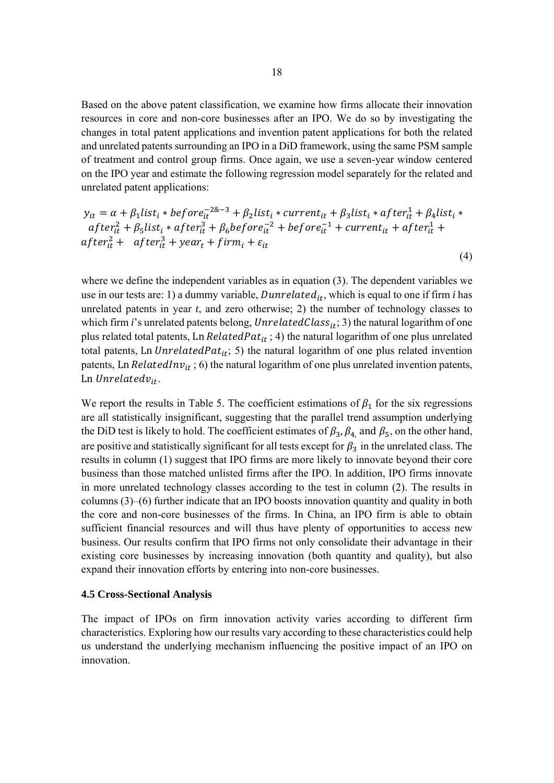Based on the above patent classification, we examine how firms allocate their innovation resources in core and non-core businesses after an IPO. We do so by investigating the changes in total patent applications and invention patent applications for both the related and unrelated patents surrounding an IPO in a DiD framework, using the same PSM sample of treatment and control group firms. Once again, we use a seven-year window centered on the IPO year and estimate the following regression model separately for the related and unrelated patent applications:

$$
y_{it} = \alpha + \beta_1 list_i * before_{it}^{-2\&{-3}} + \beta_2 list_i * current_{it} + \beta_3 list_i * after_{it}^1 + \beta_4 list_i *after_{it}^2 + \beta_5 list_i * after_{it}^3 + \beta_6 before_{it}^{-2} + before_{it}^{-1} + current_{it} + after_{it}^1 +after_{it}^2 + after_{it}^3 + year_t + firm_t + \varepsilon_{it}
$$
\n(4)

where we define the independent variables as in equation (3). The dependent variables we use in our tests are: 1) a dummy variable, *Dunrelated*<sub>it</sub>, which is equal to one if firm *i* has unrelated patents in year *t*, and zero otherwise; 2) the number of technology classes to which firm *i*'s unrelated patents belong, *UnrelatedClass*<sub>it</sub>; 3) the natural logarithm of one plus related total patents, Ln  $RelatedPat_{it}$ ; 4) the natural logarithm of one plus unrelated total patents, Ln UnrelatedPat<sub>it</sub>; 5) the natural logarithm of one plus related invention patents, Ln  $RelatedInv_{it}$ ; 6) the natural logarithm of one plus unrelated invention patents, Ln Unrelated $v_{it}$ .

We report the results in Table 5. The coefficient estimations of  $\beta_1$  for the six regressions are all statistically insignificant, suggesting that the parallel trend assumption underlying the DiD test is likely to hold. The coefficient estimates of  $\beta_3$ ,  $\beta_4$ , and  $\beta_5$ , on the other hand, are positive and statistically significant for all tests except for  $\beta_3$  in the unrelated class. The results in column (1) suggest that IPO firms are more likely to innovate beyond their core business than those matched unlisted firms after the IPO. In addition, IPO firms innovate in more unrelated technology classes according to the test in column (2). The results in columns (3)–(6) further indicate that an IPO boosts innovation quantity and quality in both the core and non-core businesses of the firms. In China, an IPO firm is able to obtain sufficient financial resources and will thus have plenty of opportunities to access new business. Our results confirm that IPO firms not only consolidate their advantage in their existing core businesses by increasing innovation (both quantity and quality), but also expand their innovation efforts by entering into non-core businesses.

#### **4.5 Cross-Sectional Analysis**

The impact of IPOs on firm innovation activity varies according to different firm characteristics. Exploring how our results vary according to these characteristics could help us understand the underlying mechanism influencing the positive impact of an IPO on innovation.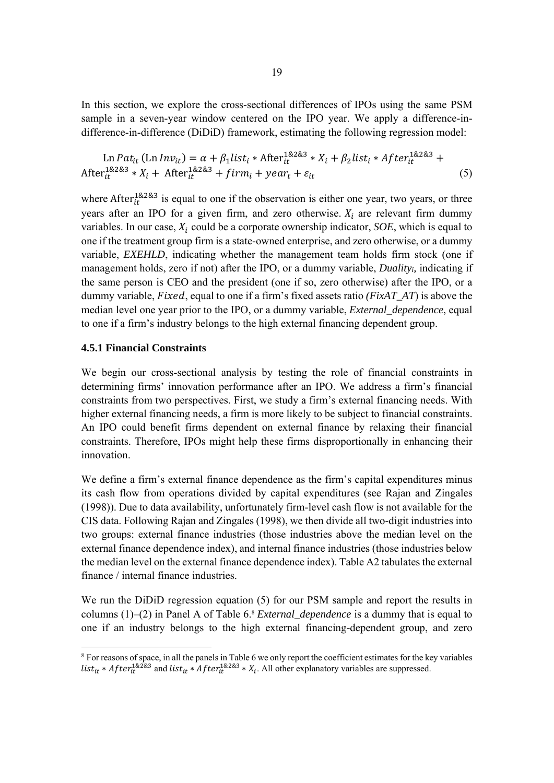In this section, we explore the cross-sectional differences of IPOs using the same PSM sample in a seven-year window centered on the IPO year. We apply a difference-indifference-in-difference (DiDiD) framework, estimating the following regression model:

$$
\text{Ln} \, Pat_{it} \, (\text{Ln} \, Inv_{it}) = \alpha + \beta_1 \, list_i * \, After_{it}^{1\&2\&3} * X_i + \beta_2 \, list_i * \, After_{it}^{1\&2\&3} + \text{After}_{it}^{1\&2\&3} * X_i + \text{After}_{it}^{1\&2\&3} + \text{firm}_i + \text{year}_t + \varepsilon_{it} \tag{5}
$$

where After $i<sub>tt</sub><sup>1&2&3</sup>$  is equal to one if the observation is either one year, two years, or three years after an IPO for a given firm, and zero otherwise.  $X_i$  are relevant firm dummy variables. In our case,  $X_i$  could be a corporate ownership indicator,  $SOE$ , which is equal to one if the treatment group firm is a state-owned enterprise, and zero otherwise, or a dummy variable, *EXEHLD*, indicating whether the management team holds firm stock (one if management holds, zero if not) after the IPO, or a dummy variable, *Dualityi,* indicating if the same person is CEO and the president (one if so, zero otherwise) after the IPO, or a dummy variable, *Fixed*, equal to one if a firm's fixed assets ratio *(FixAT\_AT*) is above the median level one year prior to the IPO, or a dummy variable, *External\_dependence*, equal to one if a firm's industry belongs to the high external financing dependent group.

#### **4.5.1 Financial Constraints**

We begin our cross-sectional analysis by testing the role of financial constraints in determining firms' innovation performance after an IPO. We address a firm's financial constraints from two perspectives. First, we study a firm's external financing needs. With higher external financing needs, a firm is more likely to be subject to financial constraints. An IPO could benefit firms dependent on external finance by relaxing their financial constraints. Therefore, IPOs might help these firms disproportionally in enhancing their innovation.

We define a firm's external finance dependence as the firm's capital expenditures minus its cash flow from operations divided by capital expenditures (see Rajan and Zingales (1998)). Due to data availability, unfortunately firm-level cash flow is not available for the CIS data. Following Rajan and Zingales (1998), we then divide all two-digit industries into two groups: external finance industries (those industries above the median level on the external finance dependence index), and internal finance industries (those industries below the median level on the external finance dependence index). Table A2 tabulates the external finance / internal finance industries.

We run the DiDiD regression equation (5) for our PSM sample and report the results in columns (1)–(2) in Panel A of Table 6.8 *External\_dependence* is a dummy that is equal to one if an industry belongs to the high external financing-dependent group, and zero

<sup>&</sup>lt;sup>8</sup> For reasons of space, in all the panels in Table 6 we only report the coefficient estimates for the key variables list<sub>it</sub> \* After<sup>1&2&3</sup> and list<sub>it</sub> \* After<sup>1&2&3</sup> \*  $X_i$ . All other explanatory variables are suppressed.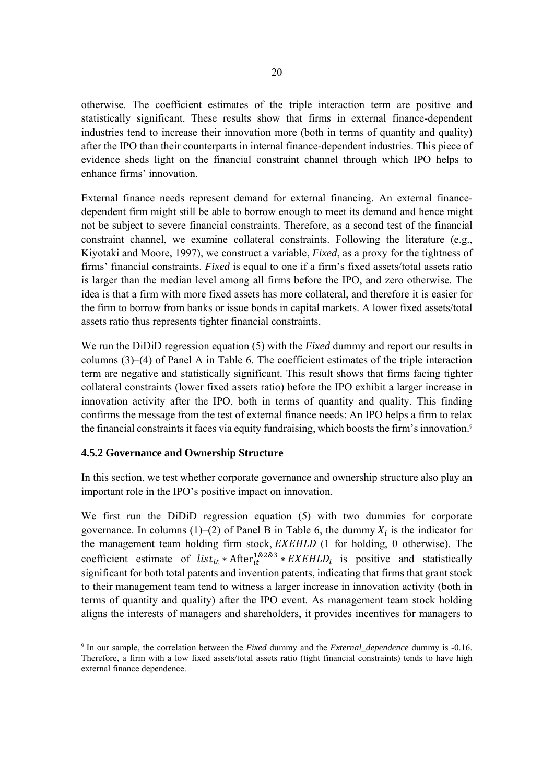otherwise. The coefficient estimates of the triple interaction term are positive and statistically significant. These results show that firms in external finance-dependent industries tend to increase their innovation more (both in terms of quantity and quality) after the IPO than their counterparts in internal finance-dependent industries. This piece of evidence sheds light on the financial constraint channel through which IPO helps to enhance firms' innovation.

External finance needs represent demand for external financing. An external financedependent firm might still be able to borrow enough to meet its demand and hence might not be subject to severe financial constraints. Therefore, as a second test of the financial constraint channel, we examine collateral constraints. Following the literature (e.g., Kiyotaki and Moore, 1997), we construct a variable, *Fixed*, as a proxy for the tightness of firms' financial constraints. *Fixed* is equal to one if a firm's fixed assets/total assets ratio is larger than the median level among all firms before the IPO, and zero otherwise. The idea is that a firm with more fixed assets has more collateral, and therefore it is easier for the firm to borrow from banks or issue bonds in capital markets. A lower fixed assets/total assets ratio thus represents tighter financial constraints.

We run the DiDiD regression equation (5) with the *Fixed* dummy and report our results in columns (3)–(4) of Panel A in Table 6. The coefficient estimates of the triple interaction term are negative and statistically significant. This result shows that firms facing tighter collateral constraints (lower fixed assets ratio) before the IPO exhibit a larger increase in innovation activity after the IPO, both in terms of quantity and quality. This finding confirms the message from the test of external finance needs: An IPO helps a firm to relax the financial constraints it faces via equity fundraising, which boosts the firm's innovation.<sup>9</sup>

#### **4.5.2 Governance and Ownership Structure**

-

In this section, we test whether corporate governance and ownership structure also play an important role in the IPO's positive impact on innovation.

We first run the DiDiD regression equation (5) with two dummies for corporate governance. In columns (1)–(2) of Panel B in Table 6, the dummy  $X_i$  is the indicator for the management team holding firm stock,  $EXEHLD$  (1 for holding, 0 otherwise). The coefficient estimate of  $list_{it} * After^{1\&2\&3} * EXEHLD_i$  is positive and statistically significant for both total patents and invention patents, indicating that firms that grant stock to their management team tend to witness a larger increase in innovation activity (both in terms of quantity and quality) after the IPO event. As management team stock holding aligns the interests of managers and shareholders, it provides incentives for managers to

<sup>9</sup> In our sample, the correlation between the *Fixed* dummy and the *External\_dependence* dummy is -0.16. Therefore, a firm with a low fixed assets/total assets ratio (tight financial constraints) tends to have high external finance dependence.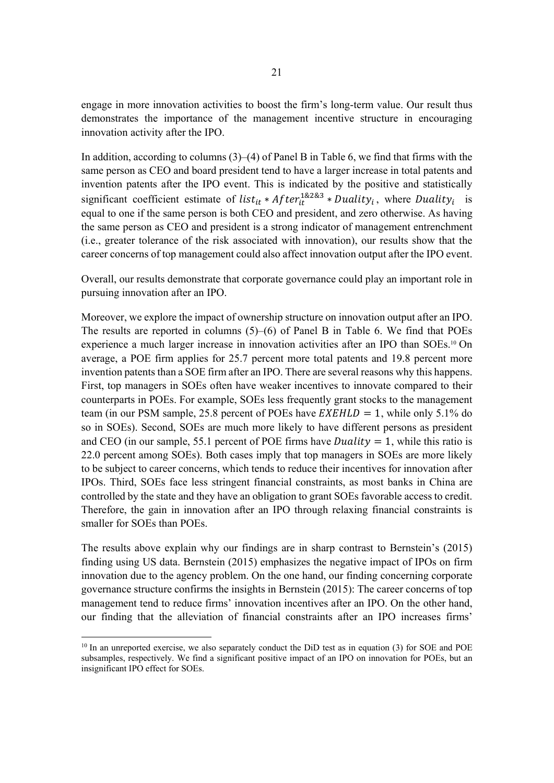engage in more innovation activities to boost the firm's long-term value. Our result thus demonstrates the importance of the management incentive structure in encouraging innovation activity after the IPO.

In addition, according to columns (3)–(4) of Panel B in Table 6, we find that firms with the same person as CEO and board president tend to have a larger increase in total patents and invention patents after the IPO event. This is indicated by the positive and statistically significant coefficient estimate of list<sub>it</sub> \* After<sup>1&2&3</sup> \* Duality<sub>i</sub>, where Duality<sub>i</sub> is equal to one if the same person is both CEO and president, and zero otherwise. As having the same person as CEO and president is a strong indicator of management entrenchment (i.e., greater tolerance of the risk associated with innovation), our results show that the career concerns of top management could also affect innovation output after the IPO event.

Overall, our results demonstrate that corporate governance could play an important role in pursuing innovation after an IPO.

Moreover, we explore the impact of ownership structure on innovation output after an IPO. The results are reported in columns (5)–(6) of Panel B in Table 6. We find that POEs experience a much larger increase in innovation activities after an IPO than SOEs.10 On average, a POE firm applies for 25.7 percent more total patents and 19.8 percent more invention patents than a SOE firm after an IPO. There are several reasons why this happens. First, top managers in SOEs often have weaker incentives to innovate compared to their counterparts in POEs. For example, SOEs less frequently grant stocks to the management team (in our PSM sample, 25.8 percent of POEs have  $EXEHLD = 1$ , while only 5.1% do so in SOEs). Second, SOEs are much more likely to have different persons as president and CEO (in our sample, 55.1 percent of POE firms have *Duality* = 1, while this ratio is 22.0 percent among SOEs). Both cases imply that top managers in SOEs are more likely to be subject to career concerns, which tends to reduce their incentives for innovation after IPOs. Third, SOEs face less stringent financial constraints, as most banks in China are controlled by the state and they have an obligation to grant SOEs favorable access to credit. Therefore, the gain in innovation after an IPO through relaxing financial constraints is smaller for SOEs than POEs.

The results above explain why our findings are in sharp contrast to Bernstein's (2015) finding using US data. Bernstein (2015) emphasizes the negative impact of IPOs on firm innovation due to the agency problem. On the one hand, our finding concerning corporate governance structure confirms the insights in Bernstein (2015): The career concerns of top management tend to reduce firms' innovation incentives after an IPO. On the other hand, our finding that the alleviation of financial constraints after an IPO increases firms'

-

 $10$  In an unreported exercise, we also separately conduct the DiD test as in equation (3) for SOE and POE subsamples, respectively. We find a significant positive impact of an IPO on innovation for POEs, but an insignificant IPO effect for SOEs.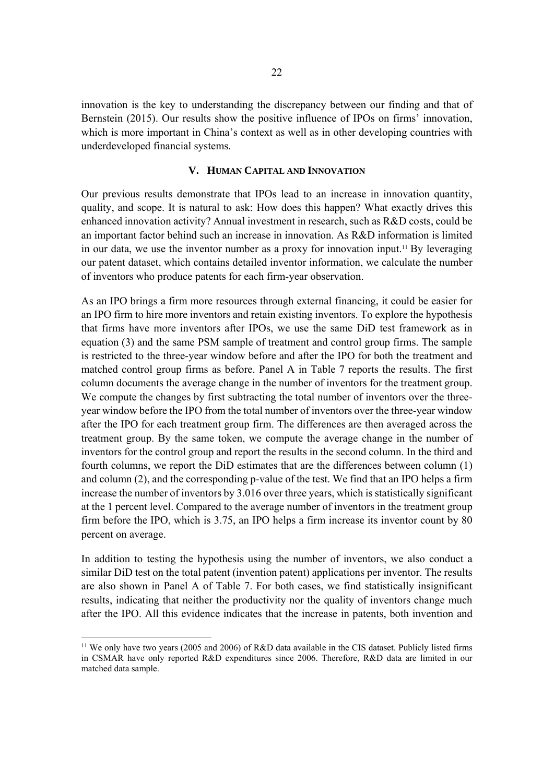innovation is the key to understanding the discrepancy between our finding and that of Bernstein (2015). Our results show the positive influence of IPOs on firms' innovation, which is more important in China's context as well as in other developing countries with underdeveloped financial systems.

#### **V. HUMAN CAPITAL AND INNOVATION**

Our previous results demonstrate that IPOs lead to an increase in innovation quantity, quality, and scope. It is natural to ask: How does this happen? What exactly drives this enhanced innovation activity? Annual investment in research, such as R&D costs, could be an important factor behind such an increase in innovation. As R&D information is limited in our data, we use the inventor number as a proxy for innovation input.11 By leveraging our patent dataset, which contains detailed inventor information, we calculate the number of inventors who produce patents for each firm-year observation.

As an IPO brings a firm more resources through external financing, it could be easier for an IPO firm to hire more inventors and retain existing inventors. To explore the hypothesis that firms have more inventors after IPOs, we use the same DiD test framework as in equation (3) and the same PSM sample of treatment and control group firms. The sample is restricted to the three-year window before and after the IPO for both the treatment and matched control group firms as before. Panel A in Table 7 reports the results. The first column documents the average change in the number of inventors for the treatment group. We compute the changes by first subtracting the total number of inventors over the threeyear window before the IPO from the total number of inventors over the three-year window after the IPO for each treatment group firm. The differences are then averaged across the treatment group. By the same token, we compute the average change in the number of inventors for the control group and report the results in the second column. In the third and fourth columns, we report the DiD estimates that are the differences between column (1) and column (2), and the corresponding p-value of the test. We find that an IPO helps a firm increase the number of inventors by 3.016 over three years, which is statistically significant at the 1 percent level. Compared to the average number of inventors in the treatment group firm before the IPO, which is 3.75, an IPO helps a firm increase its inventor count by 80 percent on average.

In addition to testing the hypothesis using the number of inventors, we also conduct a similar DiD test on the total patent (invention patent) applications per inventor. The results are also shown in Panel A of Table 7. For both cases, we find statistically insignificant results, indicating that neither the productivity nor the quality of inventors change much after the IPO. All this evidence indicates that the increase in patents, both invention and

-

<sup>11</sup> We only have two years (2005 and 2006) of R&D data available in the CIS dataset. Publicly listed firms in CSMAR have only reported R&D expenditures since 2006. Therefore, R&D data are limited in our matched data sample.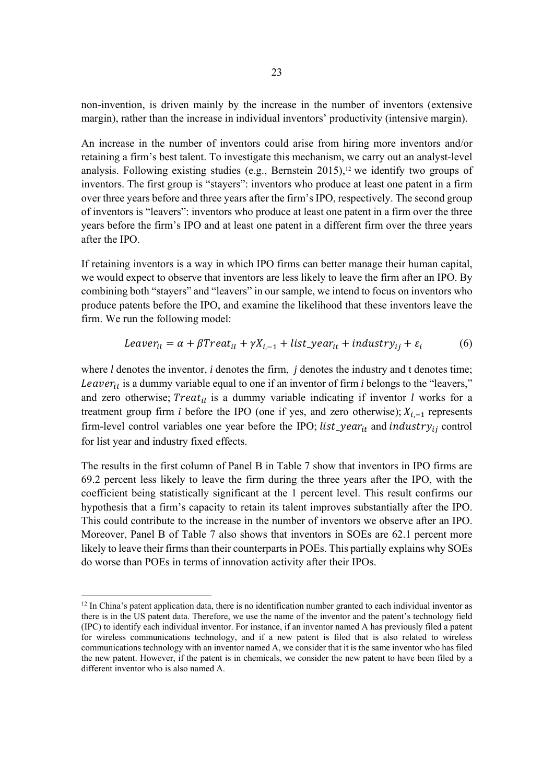non-invention, is driven mainly by the increase in the number of inventors (extensive margin), rather than the increase in individual inventors' productivity (intensive margin).

An increase in the number of inventors could arise from hiring more inventors and/or retaining a firm's best talent. To investigate this mechanism, we carry out an analyst-level analysis. Following existing studies (e.g., Bernstein 2015),<sup>12</sup> we identify two groups of inventors. The first group is "stayers": inventors who produce at least one patent in a firm over three years before and three years after the firm's IPO, respectively. The second group of inventors is "leavers": inventors who produce at least one patent in a firm over the three years before the firm's IPO and at least one patent in a different firm over the three years after the IPO.

If retaining inventors is a way in which IPO firms can better manage their human capital, we would expect to observe that inventors are less likely to leave the firm after an IPO. By combining both "stayers" and "leavers" in our sample, we intend to focus on inventors who produce patents before the IPO, and examine the likelihood that these inventors leave the firm. We run the following model:

$$
Leaver_{il} = \alpha + \beta Treat_{il} + \gamma X_{i, -1} + list\_year_{it} + industry_{ij} + \varepsilon_i
$$
 (6)

where *l* denotes the inventor, *i* denotes the firm, *j* denotes the industry and t denotes time; Leaver<sub>il</sub> is a dummy variable equal to one if an inventor of firm *i* belongs to the "leavers," and zero otherwise;  $Treat_{il}$  is a dummy variable indicating if inventor *l* works for a treatment group firm *i* before the IPO (one if yes, and zero otherwise);  $X_{i-1}$  represents firm-level control variables one year before the IPO;  $list\_year_{it}$  and  $industry_{ij}$  control for list year and industry fixed effects.

The results in the first column of Panel B in Table 7 show that inventors in IPO firms are 69.2 percent less likely to leave the firm during the three years after the IPO, with the coefficient being statistically significant at the 1 percent level. This result confirms our hypothesis that a firm's capacity to retain its talent improves substantially after the IPO. This could contribute to the increase in the number of inventors we observe after an IPO. Moreover, Panel B of Table 7 also shows that inventors in SOEs are 62.1 percent more likely to leave their firms than their counterparts in POEs. This partially explains why SOEs do worse than POEs in terms of innovation activity after their IPOs.

1

 $12$  In China's patent application data, there is no identification number granted to each individual inventor as there is in the US patent data. Therefore, we use the name of the inventor and the patent's technology field (IPC) to identify each individual inventor. For instance, if an inventor named A has previously filed a patent for wireless communications technology, and if a new patent is filed that is also related to wireless communications technology with an inventor named A, we consider that it is the same inventor who has filed the new patent. However, if the patent is in chemicals, we consider the new patent to have been filed by a different inventor who is also named A.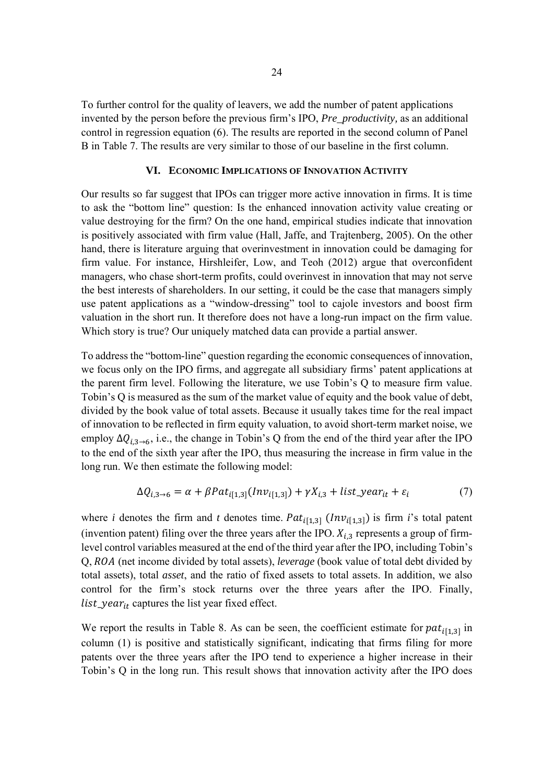To further control for the quality of leavers, we add the number of patent applications invented by the person before the previous firm's IPO, *Pre\_productivity,* as an additional control in regression equation (6). The results are reported in the second column of Panel B in Table 7. The results are very similar to those of our baseline in the first column.

#### **VI. ECONOMIC IMPLICATIONS OF INNOVATION ACTIVITY**

Our results so far suggest that IPOs can trigger more active innovation in firms. It is time to ask the "bottom line" question: Is the enhanced innovation activity value creating or value destroying for the firm? On the one hand, empirical studies indicate that innovation is positively associated with firm value (Hall, Jaffe, and Trajtenberg, 2005). On the other hand, there is literature arguing that overinvestment in innovation could be damaging for firm value. For instance, Hirshleifer, Low, and Teoh (2012) argue that overconfident managers, who chase short-term profits, could overinvest in innovation that may not serve the best interests of shareholders. In our setting, it could be the case that managers simply use patent applications as a "window-dressing" tool to cajole investors and boost firm valuation in the short run. It therefore does not have a long-run impact on the firm value. Which story is true? Our uniquely matched data can provide a partial answer.

To address the "bottom-line" question regarding the economic consequences of innovation, we focus only on the IPO firms, and aggregate all subsidiary firms' patent applications at the parent firm level. Following the literature, we use Tobin's Q to measure firm value. Tobin's Q is measured as the sum of the market value of equity and the book value of debt, divided by the book value of total assets. Because it usually takes time for the real impact of innovation to be reflected in firm equity valuation, to avoid short-term market noise, we employ  $\Delta Q_{i,3\rightarrow 6}$ , i.e., the change in Tobin's Q from the end of the third year after the IPO to the end of the sixth year after the IPO, thus measuring the increase in firm value in the long run. We then estimate the following model:

$$
\Delta Q_{i,3 \to 6} = \alpha + \beta Pat_{i[1,3]}(Inv_{i[1,3]}) + \gamma X_{i,3} + list\_year_{it} + \varepsilon_i
$$
\n<sup>(7)</sup>

where *i* denotes the firm and *t* denotes time.  $Pat<sub>i[1,3]</sub>$  ( $Inv<sub>i[1,3]</sub>$ ) is firm *i*'s total patent (invention patent) filing over the three years after the IPO.  $X_{i,3}$  represents a group of firmlevel control variables measured at the end of the third year after the IPO, including Tobin's Q, ROA (net income divided by total assets), *leverage* (book value of total debt divided by total assets), total *asset*, and the ratio of fixed assets to total assets. In addition, we also control for the firm's stock returns over the three years after the IPO. Finally, list\_year $_{it}$  captures the list year fixed effect.

We report the results in Table 8. As can be seen, the coefficient estimate for  $pat<sub>i[1,3]</sub>$  in column (1) is positive and statistically significant, indicating that firms filing for more patents over the three years after the IPO tend to experience a higher increase in their Tobin's Q in the long run. This result shows that innovation activity after the IPO does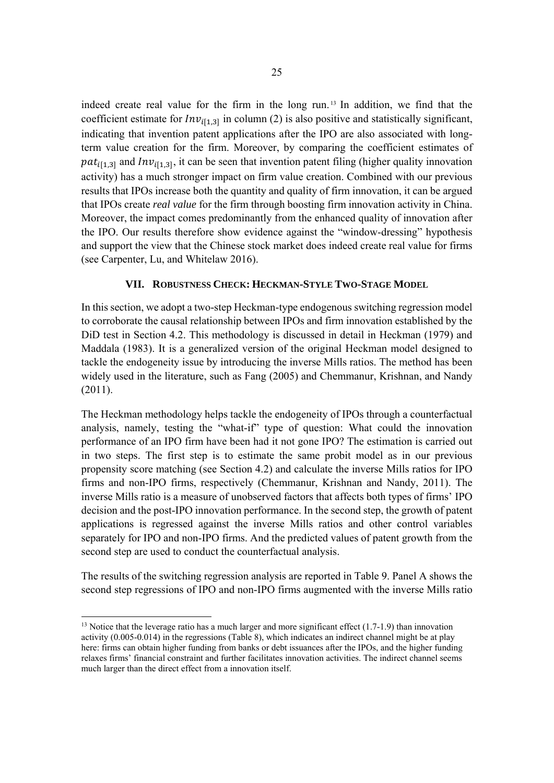indeed create real value for the firm in the long run. 13 In addition, we find that the coefficient estimate for  $Inv_{i[1,3]}$  in column (2) is also positive and statistically significant, indicating that invention patent applications after the IPO are also associated with longterm value creation for the firm. Moreover, by comparing the coefficient estimates of  $pat<sub>i[1,3]</sub>$  and  $Inv<sub>i[1,3]</sub>$ , it can be seen that invention patent filing (higher quality innovation activity) has a much stronger impact on firm value creation. Combined with our previous results that IPOs increase both the quantity and quality of firm innovation, it can be argued that IPOs create *real value* for the firm through boosting firm innovation activity in China. Moreover, the impact comes predominantly from the enhanced quality of innovation after the IPO. Our results therefore show evidence against the "window-dressing" hypothesis and support the view that the Chinese stock market does indeed create real value for firms (see Carpenter, Lu, and Whitelaw 2016).

#### **VII. ROBUSTNESS CHECK: HECKMAN-STYLE TWO-STAGE MODEL**

In this section, we adopt a two-step Heckman-type endogenous switching regression model to corroborate the causal relationship between IPOs and firm innovation established by the DiD test in Section 4.2. This methodology is discussed in detail in Heckman (1979) and Maddala (1983). It is a generalized version of the original Heckman model designed to tackle the endogeneity issue by introducing the inverse Mills ratios. The method has been widely used in the literature, such as Fang (2005) and Chemmanur, Krishnan, and Nandy (2011).

The Heckman methodology helps tackle the endogeneity of IPOs through a counterfactual analysis, namely, testing the "what-if" type of question: What could the innovation performance of an IPO firm have been had it not gone IPO? The estimation is carried out in two steps. The first step is to estimate the same probit model as in our previous propensity score matching (see Section 4.2) and calculate the inverse Mills ratios for IPO firms and non-IPO firms, respectively (Chemmanur, Krishnan and Nandy, 2011). The inverse Mills ratio is a measure of unobserved factors that affects both types of firms' IPO decision and the post-IPO innovation performance. In the second step, the growth of patent applications is regressed against the inverse Mills ratios and other control variables separately for IPO and non-IPO firms. And the predicted values of patent growth from the second step are used to conduct the counterfactual analysis.

The results of the switching regression analysis are reported in Table 9. Panel A shows the second step regressions of IPO and non-IPO firms augmented with the inverse Mills ratio

-

<sup>&</sup>lt;sup>13</sup> Notice that the leverage ratio has a much larger and more significant effect  $(1.7-1.9)$  than innovation activity (0.005-0.014) in the regressions (Table 8), which indicates an indirect channel might be at play here: firms can obtain higher funding from banks or debt issuances after the IPOs, and the higher funding relaxes firms' financial constraint and further facilitates innovation activities. The indirect channel seems much larger than the direct effect from a innovation itself.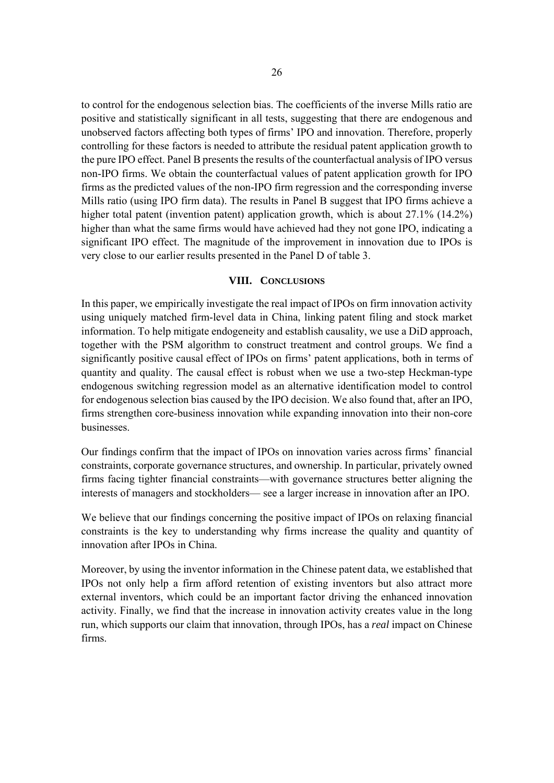to control for the endogenous selection bias. The coefficients of the inverse Mills ratio are positive and statistically significant in all tests, suggesting that there are endogenous and unobserved factors affecting both types of firms' IPO and innovation. Therefore, properly controlling for these factors is needed to attribute the residual patent application growth to the pure IPO effect. Panel B presents the results of the counterfactual analysis of IPO versus non-IPO firms. We obtain the counterfactual values of patent application growth for IPO firms as the predicted values of the non-IPO firm regression and the corresponding inverse Mills ratio (using IPO firm data). The results in Panel B suggest that IPO firms achieve a higher total patent (invention patent) application growth, which is about 27.1% (14.2%) higher than what the same firms would have achieved had they not gone IPO, indicating a significant IPO effect. The magnitude of the improvement in innovation due to IPOs is very close to our earlier results presented in the Panel D of table 3.

#### **VIII. CONCLUSIONS**

In this paper, we empirically investigate the real impact of IPOs on firm innovation activity using uniquely matched firm-level data in China, linking patent filing and stock market information. To help mitigate endogeneity and establish causality, we use a DiD approach, together with the PSM algorithm to construct treatment and control groups. We find a significantly positive causal effect of IPOs on firms' patent applications, both in terms of quantity and quality. The causal effect is robust when we use a two-step Heckman-type endogenous switching regression model as an alternative identification model to control for endogenous selection bias caused by the IPO decision. We also found that, after an IPO, firms strengthen core-business innovation while expanding innovation into their non-core businesses.

Our findings confirm that the impact of IPOs on innovation varies across firms' financial constraints, corporate governance structures, and ownership. In particular, privately owned firms facing tighter financial constraints—with governance structures better aligning the interests of managers and stockholders— see a larger increase in innovation after an IPO.

We believe that our findings concerning the positive impact of IPOs on relaxing financial constraints is the key to understanding why firms increase the quality and quantity of innovation after IPOs in China.

Moreover, by using the inventor information in the Chinese patent data, we established that IPOs not only help a firm afford retention of existing inventors but also attract more external inventors, which could be an important factor driving the enhanced innovation activity. Finally, we find that the increase in innovation activity creates value in the long run, which supports our claim that innovation, through IPOs, has a *real* impact on Chinese firms.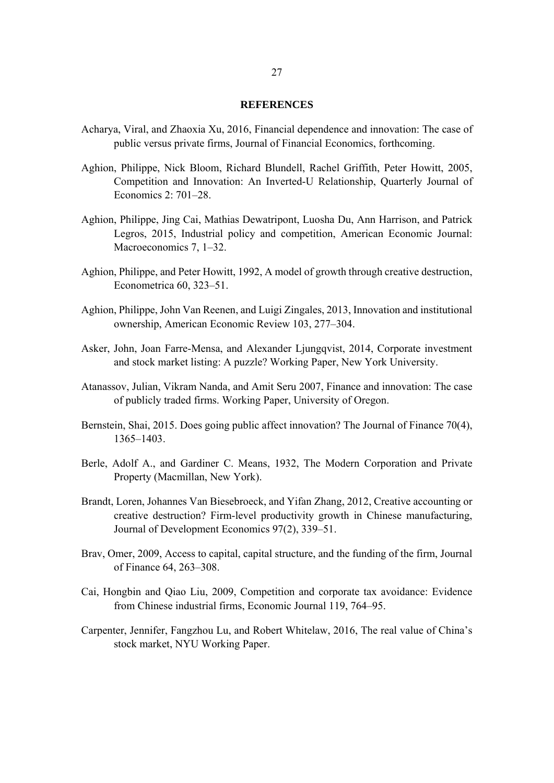#### **REFERENCES**

- Acharya, Viral, and Zhaoxia Xu, 2016, Financial dependence and innovation: The case of public versus private firms, Journal of Financial Economics, forthcoming.
- Aghion, Philippe, Nick Bloom, Richard Blundell, Rachel Griffith, Peter Howitt, 2005, Competition and Innovation: An Inverted-U Relationship, Quarterly Journal of Economics 2: 701–28.
- Aghion, Philippe, Jing Cai, Mathias Dewatripont, Luosha Du, Ann Harrison, and Patrick Legros, 2015, Industrial policy and competition, American Economic Journal: Macroeconomics 7, 1–32.
- Aghion, Philippe, and Peter Howitt, 1992, A model of growth through creative destruction, Econometrica 60, 323–51.
- Aghion, Philippe, John Van Reenen, and Luigi Zingales, 2013, Innovation and institutional ownership, American Economic Review 103, 277–304.
- Asker, John, Joan Farre-Mensa, and Alexander Ljungqvist, 2014, Corporate investment and stock market listing: A puzzle? Working Paper, New York University.
- Atanassov, Julian, Vikram Nanda, and Amit Seru 2007, Finance and innovation: The case of publicly traded firms. Working Paper, University of Oregon.
- Bernstein, Shai, 2015. Does going public affect innovation? The Journal of Finance 70(4), 1365–1403.
- Berle, Adolf A., and Gardiner C. Means, 1932, The Modern Corporation and Private Property (Macmillan, New York).
- Brandt, Loren, Johannes Van Biesebroeck, and Yifan Zhang, 2012, Creative accounting or creative destruction? Firm-level productivity growth in Chinese manufacturing, Journal of Development Economics 97(2), 339–51.
- Brav, Omer, 2009, Access to capital, capital structure, and the funding of the firm, Journal of Finance 64, 263–308.
- Cai, Hongbin and Qiao Liu, 2009, Competition and corporate tax avoidance: Evidence from Chinese industrial firms, Economic Journal 119, 764–95.
- Carpenter, Jennifer, Fangzhou Lu, and Robert Whitelaw, 2016, The real value of China's stock market, NYU Working Paper.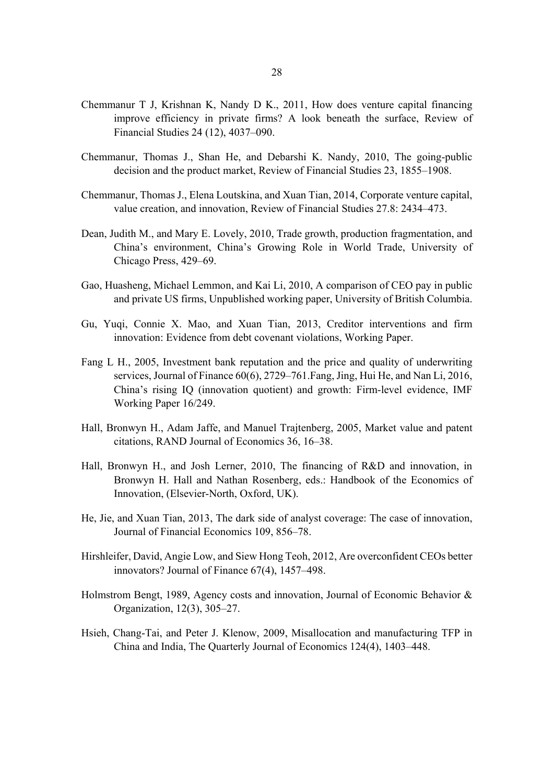- Chemmanur T J, Krishnan K, Nandy D K., 2011, How does venture capital financing improve efficiency in private firms? A look beneath the surface, Review of Financial Studies 24 (12), 4037–090.
- Chemmanur, Thomas J., Shan He, and Debarshi K. Nandy, 2010, The going-public decision and the product market, Review of Financial Studies 23, 1855–1908.
- Chemmanur, Thomas J., Elena Loutskina, and Xuan Tian, 2014, Corporate venture capital, value creation, and innovation, Review of Financial Studies 27.8: 2434–473.
- Dean, Judith M., and Mary E. Lovely, 2010, Trade growth, production fragmentation, and China's environment, China's Growing Role in World Trade, University of Chicago Press, 429–69.
- Gao, Huasheng, Michael Lemmon, and Kai Li, 2010, A comparison of CEO pay in public and private US firms, Unpublished working paper, University of British Columbia.
- Gu, Yuqi, Connie X. Mao, and Xuan Tian, 2013, Creditor interventions and firm innovation: Evidence from debt covenant violations, Working Paper.
- Fang L H., 2005, Investment bank reputation and the price and quality of underwriting services, Journal of Finance 60(6), 2729–761.Fang, Jing, Hui He, and Nan Li, 2016, China's rising IQ (innovation quotient) and growth: Firm-level evidence, IMF Working Paper 16/249.
- Hall, Bronwyn H., Adam Jaffe, and Manuel Trajtenberg, 2005, Market value and patent citations, RAND Journal of Economics 36, 16–38.
- Hall, Bronwyn H., and Josh Lerner, 2010, The financing of R&D and innovation, in Bronwyn H. Hall and Nathan Rosenberg, eds.: Handbook of the Economics of Innovation, (Elsevier-North, Oxford, UK).
- He, Jie, and Xuan Tian, 2013, The dark side of analyst coverage: The case of innovation, Journal of Financial Economics 109, 856–78.
- Hirshleifer, David, Angie Low, and Siew Hong Teoh, 2012, Are overconfident CEOs better innovators? Journal of Finance 67(4), 1457–498.
- Holmstrom Bengt, 1989, Agency costs and innovation, Journal of Economic Behavior & Organization, 12(3), 305–27.
- Hsieh, Chang-Tai, and Peter J. Klenow, 2009, Misallocation and manufacturing TFP in China and India, The Quarterly Journal of Economics 124(4), 1403–448.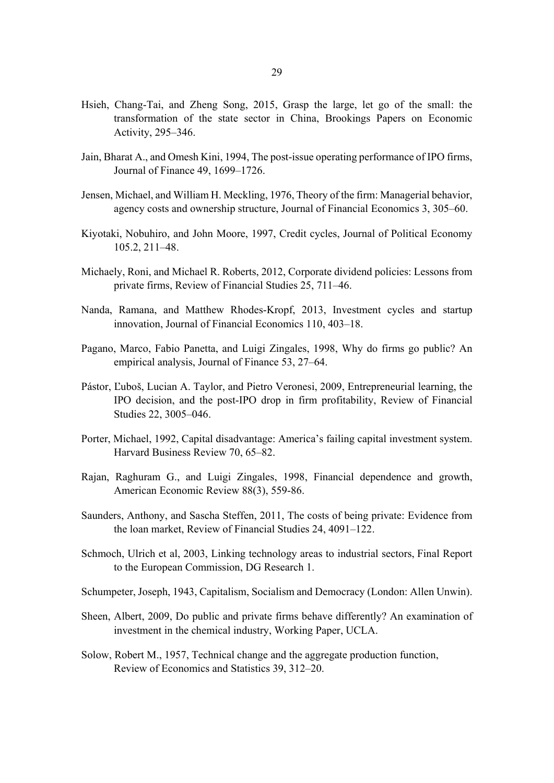- Hsieh, Chang-Tai, and Zheng Song, 2015, Grasp the large, let go of the small: the transformation of the state sector in China, Brookings Papers on Economic Activity, 295–346.
- Jain, Bharat A., and Omesh Kini, 1994, The post-issue operating performance of IPO firms, Journal of Finance 49, 1699–1726.
- Jensen, Michael, and William H. Meckling, 1976, Theory of the firm: Managerial behavior, agency costs and ownership structure, Journal of Financial Economics 3, 305–60.
- Kiyotaki, Nobuhiro, and John Moore, 1997, Credit cycles, Journal of Political Economy 105.2, 211–48.
- Michaely, Roni, and Michael R. Roberts, 2012, Corporate dividend policies: Lessons from private firms, Review of Financial Studies 25, 711–46.
- Nanda, Ramana, and Matthew Rhodes-Kropf, 2013, Investment cycles and startup innovation, Journal of Financial Economics 110, 403–18.
- Pagano, Marco, Fabio Panetta, and Luigi Zingales, 1998, Why do firms go public? An empirical analysis, Journal of Finance 53, 27–64.
- Pástor, Ľuboš, Lucian A. Taylor, and Pietro Veronesi, 2009, Entrepreneurial learning, the IPO decision, and the post-IPO drop in firm profitability, Review of Financial Studies 22, 3005–046.
- Porter, Michael, 1992, Capital disadvantage: America's failing capital investment system. Harvard Business Review 70, 65–82.
- Rajan, Raghuram G., and Luigi Zingales, 1998, Financial dependence and growth, American Economic Review 88(3), 559-86.
- Saunders, Anthony, and Sascha Steffen, 2011, The costs of being private: Evidence from the loan market, Review of Financial Studies 24, 4091–122.
- Schmoch, Ulrich et al, 2003, Linking technology areas to industrial sectors, Final Report to the European Commission, DG Research 1.
- Schumpeter, Joseph, 1943, Capitalism, Socialism and Democracy (London: Allen Unwin).
- Sheen, Albert, 2009, Do public and private firms behave differently? An examination of investment in the chemical industry, Working Paper, UCLA.
- Solow, Robert M., 1957, Technical change and the aggregate production function, Review of Economics and Statistics 39, 312–20.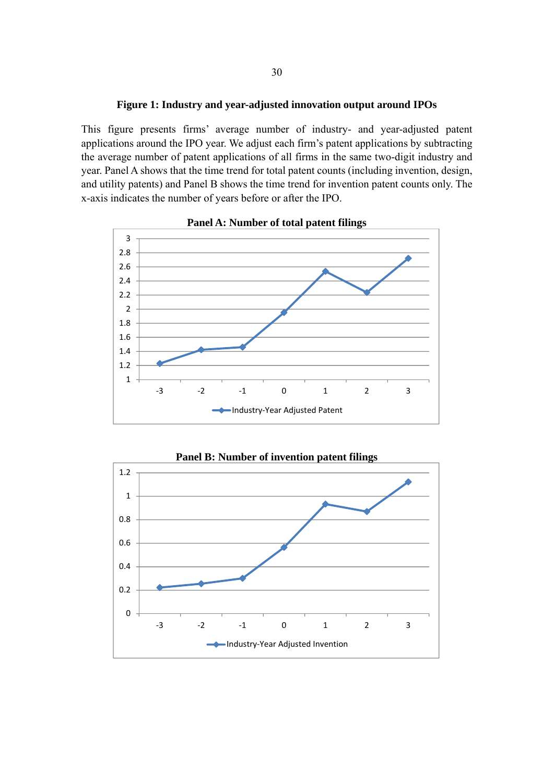#### **Figure 1: Industry and year-adjusted innovation output around IPOs**

This figure presents firms' average number of industry- and year-adjusted patent applications around the IPO year. We adjust each firm's patent applications by subtracting the average number of patent applications of all firms in the same two-digit industry and year. Panel A shows that the time trend for total patent counts (including invention, design, and utility patents) and Panel B shows the time trend for invention patent counts only. The x-axis indicates the number of years before or after the IPO.







30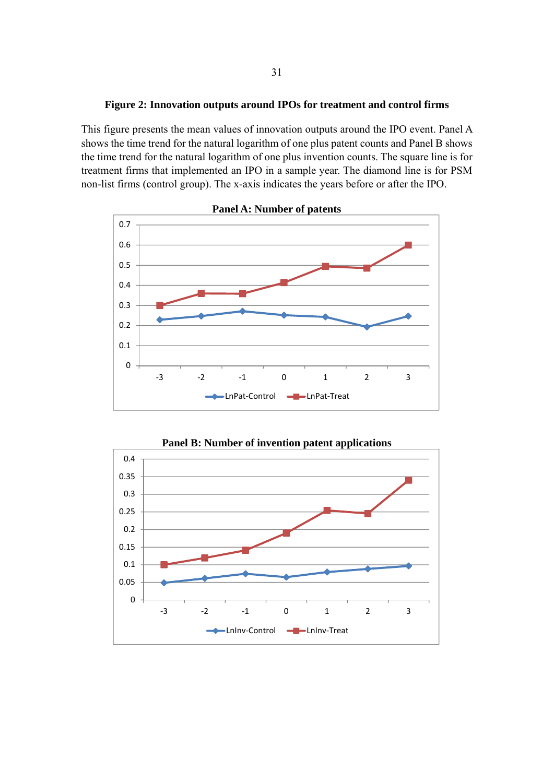#### **Figure 2: Innovation outputs around IPOs for treatment and control firms**

This figure presents the mean values of innovation outputs around the IPO event. Panel A shows the time trend for the natural logarithm of one plus patent counts and Panel B shows the time trend for the natural logarithm of one plus invention counts. The square line is for treatment firms that implemented an IPO in a sample year. The diamond line is for PSM non-list firms (control group). The x-axis indicates the years before or after the IPO.





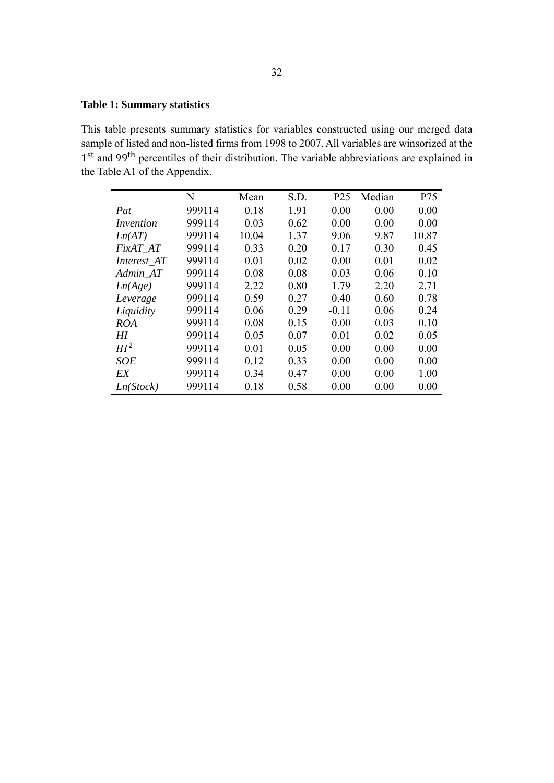### **Table 1: Summary statistics**

This table presents summary statistics for variables constructed using our merged data sample of listed and non-listed firms from 1998 to 2007. All variables are winsorized at the 1<sup>st</sup> and 99<sup>th</sup> percentiles of their distribution. The variable abbreviations are explained in the Table A1 of the Appendix.

|                 | N      | Mean  | S.D. | P <sub>25</sub> | Median | P75   |
|-----------------|--------|-------|------|-----------------|--------|-------|
| Pat             | 999114 | 0.18  | 1.91 | 0.00            | 0.00   | 0.00  |
| Invention       | 999114 | 0.03  | 0.62 | 0.00            | 0.00   | 0.00  |
| Ln(AT)          | 999114 | 10.04 | 1.37 | 9.06            | 9.87   | 10.87 |
| FixAT AT        | 999114 | 0.33  | 0.20 | 0.17            | 0.30   | 0.45  |
| Interest_AT     | 999114 | 0.01  | 0.02 | 0.00            | 0.01   | 0.02  |
| Admin AT        | 999114 | 0.08  | 0.08 | 0.03            | 0.06   | 0.10  |
| Ln(Age)         | 999114 | 2.22  | 0.80 | 1.79            | 2.20   | 2.71  |
| Leverage        | 999114 | 0.59  | 0.27 | 0.40            | 0.60   | 0.78  |
| Liquidity       | 999114 | 0.06  | 0.29 | $-0.11$         | 0.06   | 0.24  |
| ROA             | 999114 | 0.08  | 0.15 | 0.00            | 0.03   | 0.10  |
| HI              | 999114 | 0.05  | 0.07 | 0.01            | 0.02   | 0.05  |
| HI <sup>2</sup> | 999114 | 0.01  | 0.05 | 0.00            | 0.00   | 0.00  |
| <b>SOE</b>      | 999114 | 0.12  | 0.33 | 0.00            | 0.00   | 0.00  |
| EX              | 999114 | 0.34  | 0.47 | 0.00            | 0.00   | 1.00  |
| Ln(Stock)       | 999114 | 0.18  | 0.58 | 0.00            | 0.00   | 0.00  |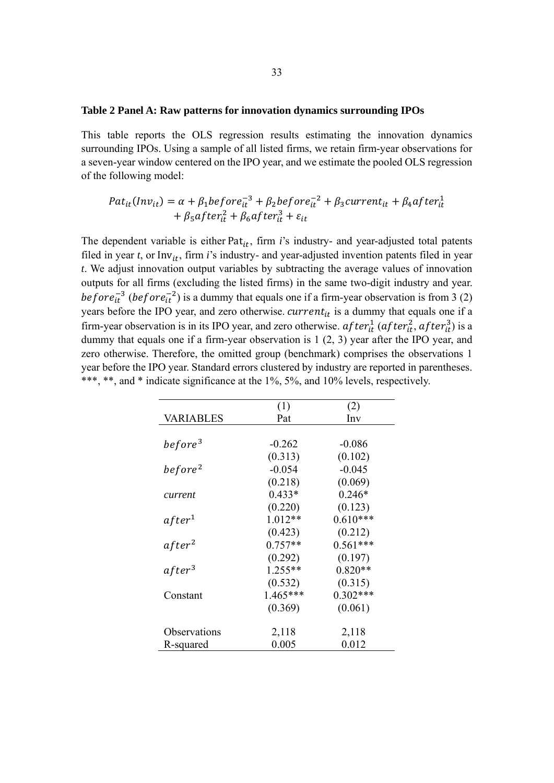#### **Table 2 Panel A: Raw patterns for innovation dynamics surrounding IPOs**

This table reports the OLS regression results estimating the innovation dynamics surrounding IPOs. Using a sample of all listed firms, we retain firm-year observations for a seven-year window centered on the IPO year, and we estimate the pooled OLS regression of the following model:

$$
Pat_{it}(Inv_{it}) = \alpha + \beta_1 before_{it}^{-3} + \beta_2 before_{it}^{-2} + \beta_3 current_{it} + \beta_4 after_{it}^1
$$
  
+ 
$$
\beta_5 after_{it}^2 + \beta_6 after_{it}^3 + \varepsilon_{it}
$$

The dependent variable is either Pat<sub>it</sub>, firm  $i$ 's industry- and year-adjusted total patents filed in year  $t$ , or Inv<sub>it</sub>, firm  $i$ 's industry- and year-adjusted invention patents filed in year *t*. We adjust innovation output variables by subtracting the average values of innovation outputs for all firms (excluding the listed firms) in the same two-digit industry and year. before<sub>it</sub><sup>3</sup> (before<sub>it</sub><sup>2</sup>) is a dummy that equals one if a firm-year observation is from 3 (2) years before the IPO year, and zero otherwise.  $current_{it}$  is a dummy that equals one if a firm-year observation is in its IPO year, and zero otherwise.  $after_{it}^1$  ( $after_{it}^2$ ,  $after_{it}^3$ ) is a dummy that equals one if a firm-year observation is 1 (2, 3) year after the IPO year, and zero otherwise. Therefore, the omitted group (benchmark) comprises the observations 1 year before the IPO year. Standard errors clustered by industry are reported in parentheses. \*\*\*, \*\*, and \* indicate significance at the 1%, 5%, and 10% levels, respectively.

|                     | (1)       | (2)        |
|---------------------|-----------|------------|
| VARIABLES           | Pat       | Inv        |
|                     |           |            |
| before <sup>3</sup> | $-0.262$  | $-0.086$   |
|                     | (0.313)   | (0.102)    |
| before <sup>2</sup> | $-0.054$  | $-0.045$   |
|                     | (0.218)   | (0.069)    |
| current             | $0.433*$  | $0.246*$   |
|                     | (0.220)   | (0.123)    |
| after <sup>1</sup>  | $1.012**$ | $0.610***$ |
|                     | (0.423)   | (0.212)    |
| after <sup>2</sup>  | $0.757**$ | $0.561***$ |
|                     | (0.292)   | (0.197)    |
| after <sup>3</sup>  | $1.255**$ | $0.820**$  |
|                     | (0.532)   | (0.315)    |
| Constant            | 1.465***  | $0.302***$ |
|                     | (0.369)   | (0.061)    |
|                     |           |            |
| Observations        | 2,118     | 2,118      |
| R-squared           | 0.005     | 0.012      |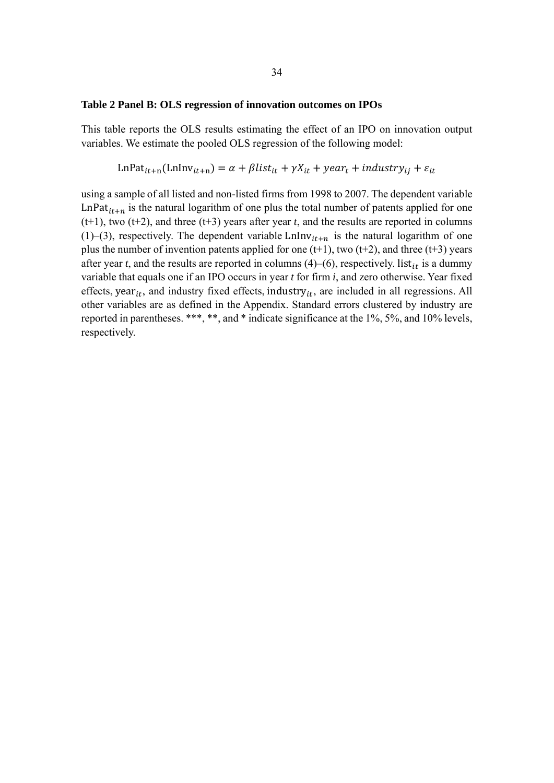#### **Table 2 Panel B: OLS regression of innovation outcomes on IPOs**

This table reports the OLS results estimating the effect of an IPO on innovation output variables. We estimate the pooled OLS regression of the following model:

LnPat<sub>it+n</sub>(LnInv<sub>it+n</sub>) = 
$$
\alpha + \beta list_{it} + \gamma X_{it} + \gamma e_i + \text{industry}_{ij} + \varepsilon_{it}
$$

using a sample of all listed and non-listed firms from 1998 to 2007. The dependent variable LnPat<sub>it+n</sub> is the natural logarithm of one plus the total number of patents applied for one  $(t+1)$ , two  $(t+2)$ , and three  $(t+3)$  years after year *t*, and the results are reported in columns (1)–(3), respectively. The dependent variable LnInv<sub>it+n</sub> is the natural logarithm of one plus the number of invention patents applied for one  $(t+1)$ , two  $(t+2)$ , and three  $(t+3)$  years after year *t*, and the results are reported in columns  $(4)$ – $(6)$ , respectively. list<sub>it</sub> is a dummy variable that equals one if an IPO occurs in year *t* for firm *i*, and zero otherwise. Year fixed effects, year $_{it}$ , and industry fixed effects, industry $_{it}$ , are included in all regressions. All other variables are as defined in the Appendix. Standard errors clustered by industry are reported in parentheses. \*\*\*, \*\*, and \* indicate significance at the 1%, 5%, and 10% levels, respectively.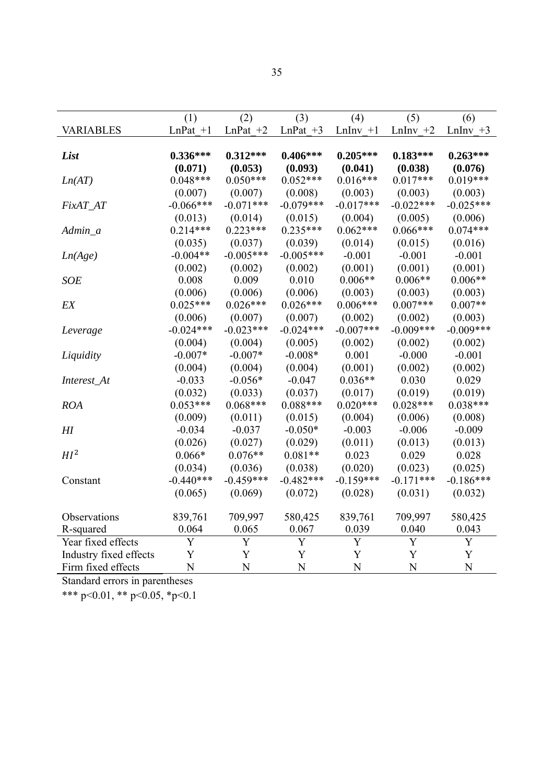|                        | (1)         | (2)         | (3)         | (4)          | (5)         | (6)         |
|------------------------|-------------|-------------|-------------|--------------|-------------|-------------|
| <b>VARIABLES</b>       | $LnPat$ +1  | LnPat $+2$  | $LnPat +3$  | $LnInv +1$   | LnIn $v +2$ | LnInv $+3$  |
|                        |             |             |             |              |             |             |
| List                   | $0.336***$  | $0.312***$  | $0.406***$  | $0.205***$   | $0.183***$  | $0.263***$  |
|                        | (0.071)     | (0.053)     | (0.093)     | (0.041)      | (0.038)     | (0.076)     |
| Ln(AT)                 | $0.048***$  | $0.050***$  | $0.052***$  | $0.016***$   | $0.017***$  | $0.019***$  |
|                        | (0.007)     | (0.007)     | (0.008)     | (0.003)      | (0.003)     | (0.003)     |
| FixAT_AT               | $-0.066***$ | $-0.071***$ | $-0.079***$ | $-0.017***$  | $-0.022***$ | $-0.025***$ |
|                        | (0.013)     | (0.014)     | (0.015)     | (0.004)      | (0.005)     | (0.006)     |
| Admin_a                | $0.214***$  | $0.223***$  | $0.235***$  | $0.062***$   | $0.066***$  | $0.074***$  |
|                        | (0.035)     | (0.037)     | (0.039)     | (0.014)      | (0.015)     | (0.016)     |
| Ln(Age)                | $-0.004**$  | $-0.005***$ | $-0.005***$ | $-0.001$     | $-0.001$    | $-0.001$    |
|                        | (0.002)     | (0.002)     | (0.002)     | (0.001)      | (0.001)     | (0.001)     |
| <b>SOE</b>             | 0.008       | 0.009       | 0.010       | $0.006**$    | $0.006**$   | $0.006**$   |
|                        | (0.006)     | (0.006)     | (0.006)     | (0.003)      | (0.003)     | (0.003)     |
| EX                     | $0.025***$  | $0.026***$  | $0.026***$  | $0.006***$   | $0.007***$  | $0.007**$   |
|                        | (0.006)     | (0.007)     | (0.007)     | (0.002)      | (0.002)     | (0.003)     |
| Leverage               | $-0.024***$ | $-0.023***$ | $-0.024***$ | $-0.007$ *** | $-0.009***$ | $-0.009***$ |
|                        | (0.004)     | (0.004)     | (0.005)     | (0.002)      | (0.002)     | (0.002)     |
| Liquidity              | $-0.007*$   | $-0.007*$   | $-0.008*$   | 0.001        | $-0.000$    | $-0.001$    |
|                        | (0.004)     | (0.004)     | (0.004)     | (0.001)      | (0.002)     | (0.002)     |
| Interest_At            | $-0.033$    | $-0.056*$   | $-0.047$    | $0.036**$    | 0.030       | 0.029       |
|                        | (0.032)     | (0.033)     | (0.037)     | (0.017)      | (0.019)     | (0.019)     |
| <b>ROA</b>             | $0.053***$  | $0.068***$  | $0.088***$  | $0.020***$   | $0.028***$  | $0.038***$  |
|                        | (0.009)     | (0.011)     | (0.015)     | (0.004)      | (0.006)     | (0.008)     |
| $H\!I$                 | $-0.034$    | $-0.037$    | $-0.050*$   | $-0.003$     | $-0.006$    | $-0.009$    |
|                        | (0.026)     | (0.027)     | (0.029)     | (0.011)      | (0.013)     | (0.013)     |
| HI <sup>2</sup>        | $0.066*$    | $0.076**$   | $0.081**$   | 0.023        | 0.029       | 0.028       |
|                        | (0.034)     | (0.036)     | (0.038)     | (0.020)      | (0.023)     | (0.025)     |
| Constant               | $-0.440***$ | $-0.459***$ | $-0.482***$ | $-0.159***$  | $-0.171***$ | $-0.186***$ |
|                        | (0.065)     | (0.069)     | (0.072)     | (0.028)      | (0.031)     | (0.032)     |
|                        |             |             |             |              |             |             |
| Observations           | 839,761     | 709,997     | 580,425     | 839,761      | 709,997     | 580,425     |
| R-squared              | 0.064       | 0.065       | 0.067       | 0.039        | 0.040       | 0.043       |
| Year fixed effects     | Y           | Y           | Y           | Y            | Y           | Y           |
| Industry fixed effects | Y           | Y           | Y           | Y            | Y           | Y           |
| Firm fixed effects     | N           | N           | N           | N            | N           | N           |

Standard errors in parentheses

\*\*\* p<0.01, \*\* p<0.05, \*p<0.1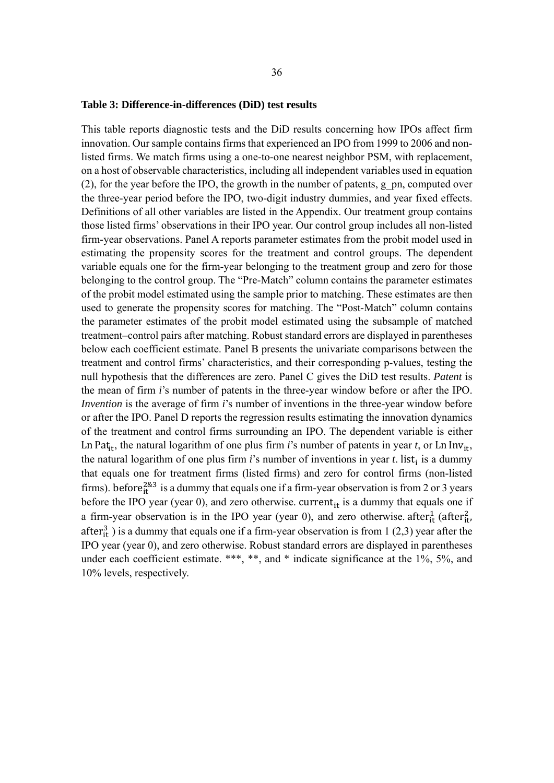#### **Table 3: Difference-in-differences (DiD) test results**

This table reports diagnostic tests and the DiD results concerning how IPOs affect firm innovation. Our sample contains firms that experienced an IPO from 1999 to 2006 and nonlisted firms. We match firms using a one-to-one nearest neighbor PSM, with replacement, on a host of observable characteristics, including all independent variables used in equation  $(2)$ , for the year before the IPO, the growth in the number of patents, g\_pn, computed over the three-year period before the IPO, two-digit industry dummies, and year fixed effects. Definitions of all other variables are listed in the Appendix. Our treatment group contains those listed firms' observations in their IPO year. Our control group includes all non-listed firm-year observations. Panel A reports parameter estimates from the probit model used in estimating the propensity scores for the treatment and control groups. The dependent variable equals one for the firm-year belonging to the treatment group and zero for those belonging to the control group. The "Pre-Match" column contains the parameter estimates of the probit model estimated using the sample prior to matching. These estimates are then used to generate the propensity scores for matching. The "Post-Match" column contains the parameter estimates of the probit model estimated using the subsample of matched treatment–control pairs after matching. Robust standard errors are displayed in parentheses below each coefficient estimate. Panel B presents the univariate comparisons between the treatment and control firms' characteristics, and their corresponding p-values, testing the null hypothesis that the differences are zero. Panel C gives the DiD test results. *Patent* is the mean of firm *i*'s number of patents in the three-year window before or after the IPO. *Invention* is the average of firm *i*'s number of inventions in the three-year window before or after the IPO. Panel D reports the regression results estimating the innovation dynamics of the treatment and control firms surrounding an IPO. The dependent variable is either Ln Pat<sub>it</sub>, the natural logarithm of one plus firm *i*'s number of patents in year *t*, or Ln Inv<sub>it</sub>, the natural logarithm of one plus firm *i*'s number of inventions in year *t*. list<sub>i</sub> is a dummy that equals one for treatment firms (listed firms) and zero for control firms (non-listed firms). before<sup>2&3</sup> is a dummy that equals one if a firm-year observation is from 2 or 3 years before the IPO year (year 0), and zero otherwise. current $_{it}$  is a dummy that equals one if a firm-year observation is in the IPO year (year 0), and zero otherwise. after $_{it}^{1}$  (after $_{it}^{2}$ ) after $i$ <sup>3</sup> is a dummy that equals one if a firm-year observation is from 1 (2,3) year after the IPO year (year 0), and zero otherwise. Robust standard errors are displayed in parentheses under each coefficient estimate. \*\*\*, \*\*, and \* indicate significance at the 1%, 5%, and 10% levels, respectively.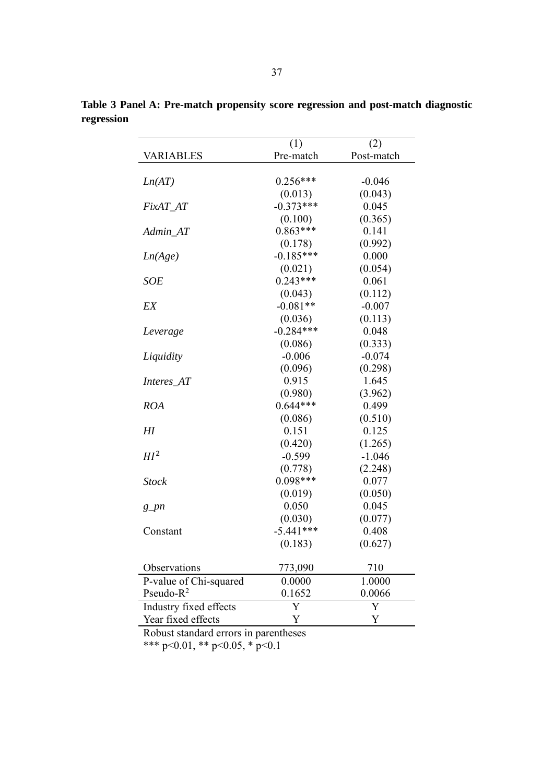|                        | (1)         | (2)        |
|------------------------|-------------|------------|
| VARIABLES              | Pre-match   | Post-match |
|                        |             |            |
| Ln(AT)                 | $0.256***$  | $-0.046$   |
|                        | (0.013)     | (0.043)    |
| FixAT_AT               | $-0.373***$ | 0.045      |
|                        | (0.100)     | (0.365)    |
| Admin_AT               | $0.863***$  | 0.141      |
|                        | (0.178)     | (0.992)    |
| Ln(Age)                | $-0.185***$ | 0.000      |
|                        | (0.021)     | (0.054)    |
| <b>SOE</b>             | $0.243***$  | 0.061      |
|                        | (0.043)     | (0.112)    |
| EX                     | $-0.081**$  | $-0.007$   |
|                        | (0.036)     | (0.113)    |
| Leverage               | $-0.284***$ | 0.048      |
|                        | (0.086)     | (0.333)    |
| Liquidity              | $-0.006$    | $-0.074$   |
|                        | (0.096)     | (0.298)    |
| Interes_AT             | 0.915       | 1.645      |
|                        | (0.980)     | (3.962)    |
| <b>ROA</b>             | $0.644***$  | 0.499      |
|                        | (0.086)     | (0.510)    |
| HI                     | 0.151       | 0.125      |
|                        | (0.420)     | (1.265)    |
| HI <sup>2</sup>        | $-0.599$    | $-1.046$   |
|                        | (0.778)     | (2.248)    |
| <b>Stock</b>           | $0.098***$  | 0.077      |
|                        | (0.019)     | (0.050)    |
| $g\_pn$                | 0.050       | 0.045      |
|                        | (0.030)     | (0.077)    |
| Constant               | $-5.441***$ | 0.408      |
|                        | (0.183)     | (0.627)    |
|                        |             |            |
| Observations           | 773,090     | 710        |
| P-value of Chi-squared | 0.0000      | 1.0000     |
| Pseudo- $R^2$          | 0.1652      | 0.0066     |
| Industry fixed effects | Y           | Y          |
| Year fixed effects     | Y           | Y          |

**Table 3 Panel A: Pre-match propensity score regression and post-match diagnostic regression** 

Robust standard errors in parentheses

\*\*\* p<0.01, \*\* p<0.05, \* p<0.1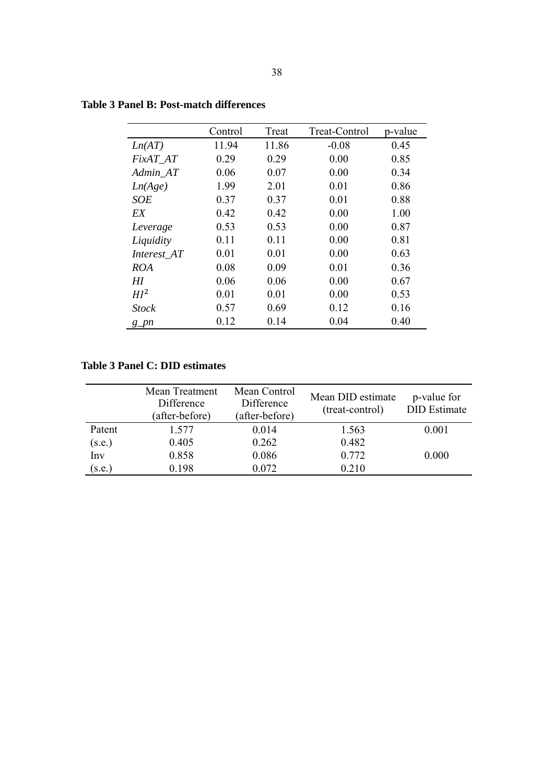|                       | Control | Treat | Treat-Control | p-value |
|-----------------------|---------|-------|---------------|---------|
| Ln(AT)                | 11.94   | 11.86 | $-0.08$       | 0.45    |
| FixAT AT              | 0.29    | 0.29  | 0.00          | 0.85    |
| Admin AT              | 0.06    | 0.07  | 0.00          | 0.34    |
| Ln(Age)               | 1.99    | 2.01  | 0.01          | 0.86    |
| <b>SOE</b>            | 0.37    | 0.37  | 0.01          | 0.88    |
| EX                    | 0.42    | 0.42  | 0.00          | 1.00    |
| Leverage              | 0.53    | 0.53  | 0.00          | 0.87    |
| Liquidity             | 0.11    | 0.11  | 0.00          | 0.81    |
| Interest AT           | 0.01    | 0.01  | 0.00          | 0.63    |
| <b>ROA</b>            | 0.08    | 0.09  | 0.01          | 0.36    |
| HI                    | 0.06    | 0.06  | 0.00          | 0.67    |
| HI <sup>2</sup>       | 0.01    | 0.01  | 0.00          | 0.53    |
| <b>Stock</b>          | 0.57    | 0.69  | 0.12          | 0.16    |
| $g$ <sub>pn</sub> $n$ | 0.12    | 0.14  | 0.04          | 0.40    |

## **Table 3 Panel B: Post-match differences**

## **Table 3 Panel C: DID estimates**

|        | Mean Treatment<br>Difference<br>(after-before) | Mean Control<br>Difference<br>(after-before) | Mean DID estimate<br>(treat-control) | p-value for<br><b>DID</b> Estimate |
|--------|------------------------------------------------|----------------------------------------------|--------------------------------------|------------------------------------|
| Patent | 1.577                                          | 0.014                                        | 1.563                                | 0.001                              |
| (s.e.) | 0.405                                          | 0.262                                        | 0.482                                |                                    |
| Inv    | 0.858                                          | 0.086                                        | 0.772                                | 0.000                              |
| (s.e.) | 0.198                                          | 0.072                                        | 0.210                                |                                    |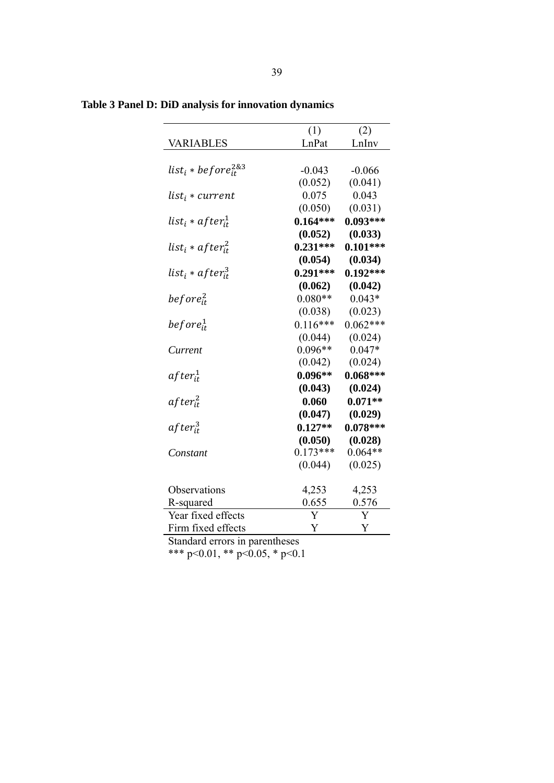| (1)<br>(2)<br>LnPat<br>LnInv<br><b>VARIABLES</b><br>list $_i * before^{2\&3}_{it}$<br>$-0.043$<br>$-0.066$<br>(0.052)<br>(0.041)<br>0.043<br>0.075<br>list <sub>i</sub> * current<br>(0.031)<br>(0.050)<br>list <sub>i</sub> * af ter $_{it}^1$<br>$0.164***$<br>$0.093***$<br>(0.052)<br>(0.033)<br>$0.101***$<br>$0.231***$<br>list <sub>i</sub> * af ter $i_t^2$<br>(0.054)<br>(0.034)<br>list $_i * after^3_{it}$<br>$0.291***$<br>$0.192***$<br>(0.062)<br>(0.042)<br>$0.080**$<br>before $_{it}^2$<br>$0.043*$<br>(0.023)<br>(0.038)<br>$0.116***$<br>$0.062***$<br>before $_{it}^1$<br>(0.024)<br>(0.044)<br>$0.096**$<br>$0.047*$<br>Current<br>(0.042)<br>(0.024)<br>af te $r_{it}^1$<br>$0.096**$<br>$0.068***$<br>(0.043)<br>(0.024)<br>0.060<br>$0.071**$<br>$after_{it}^2$<br>(0.047)<br>(0.029)<br>af te $r_{it}^3$<br>$0.078***$<br>$0.127**$<br>(0.050)<br>(0.028)<br>$0.173***$<br>$0.064**$<br>Constant<br>(0.025)<br>(0.044)<br>4,253<br>4,253<br>Observations<br>0.576<br>0.655<br>R-squared<br>Year fixed effects<br>Y<br>Y<br>Y<br>Y |                    |  |
|------------------------------------------------------------------------------------------------------------------------------------------------------------------------------------------------------------------------------------------------------------------------------------------------------------------------------------------------------------------------------------------------------------------------------------------------------------------------------------------------------------------------------------------------------------------------------------------------------------------------------------------------------------------------------------------------------------------------------------------------------------------------------------------------------------------------------------------------------------------------------------------------------------------------------------------------------------------------------------------------------------------------------------------------------------|--------------------|--|
|                                                                                                                                                                                                                                                                                                                                                                                                                                                                                                                                                                                                                                                                                                                                                                                                                                                                                                                                                                                                                                                            |                    |  |
|                                                                                                                                                                                                                                                                                                                                                                                                                                                                                                                                                                                                                                                                                                                                                                                                                                                                                                                                                                                                                                                            |                    |  |
|                                                                                                                                                                                                                                                                                                                                                                                                                                                                                                                                                                                                                                                                                                                                                                                                                                                                                                                                                                                                                                                            |                    |  |
|                                                                                                                                                                                                                                                                                                                                                                                                                                                                                                                                                                                                                                                                                                                                                                                                                                                                                                                                                                                                                                                            |                    |  |
|                                                                                                                                                                                                                                                                                                                                                                                                                                                                                                                                                                                                                                                                                                                                                                                                                                                                                                                                                                                                                                                            |                    |  |
|                                                                                                                                                                                                                                                                                                                                                                                                                                                                                                                                                                                                                                                                                                                                                                                                                                                                                                                                                                                                                                                            |                    |  |
|                                                                                                                                                                                                                                                                                                                                                                                                                                                                                                                                                                                                                                                                                                                                                                                                                                                                                                                                                                                                                                                            |                    |  |
|                                                                                                                                                                                                                                                                                                                                                                                                                                                                                                                                                                                                                                                                                                                                                                                                                                                                                                                                                                                                                                                            |                    |  |
|                                                                                                                                                                                                                                                                                                                                                                                                                                                                                                                                                                                                                                                                                                                                                                                                                                                                                                                                                                                                                                                            |                    |  |
|                                                                                                                                                                                                                                                                                                                                                                                                                                                                                                                                                                                                                                                                                                                                                                                                                                                                                                                                                                                                                                                            |                    |  |
|                                                                                                                                                                                                                                                                                                                                                                                                                                                                                                                                                                                                                                                                                                                                                                                                                                                                                                                                                                                                                                                            |                    |  |
|                                                                                                                                                                                                                                                                                                                                                                                                                                                                                                                                                                                                                                                                                                                                                                                                                                                                                                                                                                                                                                                            |                    |  |
|                                                                                                                                                                                                                                                                                                                                                                                                                                                                                                                                                                                                                                                                                                                                                                                                                                                                                                                                                                                                                                                            |                    |  |
|                                                                                                                                                                                                                                                                                                                                                                                                                                                                                                                                                                                                                                                                                                                                                                                                                                                                                                                                                                                                                                                            |                    |  |
|                                                                                                                                                                                                                                                                                                                                                                                                                                                                                                                                                                                                                                                                                                                                                                                                                                                                                                                                                                                                                                                            |                    |  |
|                                                                                                                                                                                                                                                                                                                                                                                                                                                                                                                                                                                                                                                                                                                                                                                                                                                                                                                                                                                                                                                            |                    |  |
|                                                                                                                                                                                                                                                                                                                                                                                                                                                                                                                                                                                                                                                                                                                                                                                                                                                                                                                                                                                                                                                            |                    |  |
|                                                                                                                                                                                                                                                                                                                                                                                                                                                                                                                                                                                                                                                                                                                                                                                                                                                                                                                                                                                                                                                            |                    |  |
|                                                                                                                                                                                                                                                                                                                                                                                                                                                                                                                                                                                                                                                                                                                                                                                                                                                                                                                                                                                                                                                            |                    |  |
|                                                                                                                                                                                                                                                                                                                                                                                                                                                                                                                                                                                                                                                                                                                                                                                                                                                                                                                                                                                                                                                            |                    |  |
|                                                                                                                                                                                                                                                                                                                                                                                                                                                                                                                                                                                                                                                                                                                                                                                                                                                                                                                                                                                                                                                            |                    |  |
|                                                                                                                                                                                                                                                                                                                                                                                                                                                                                                                                                                                                                                                                                                                                                                                                                                                                                                                                                                                                                                                            |                    |  |
|                                                                                                                                                                                                                                                                                                                                                                                                                                                                                                                                                                                                                                                                                                                                                                                                                                                                                                                                                                                                                                                            |                    |  |
|                                                                                                                                                                                                                                                                                                                                                                                                                                                                                                                                                                                                                                                                                                                                                                                                                                                                                                                                                                                                                                                            |                    |  |
|                                                                                                                                                                                                                                                                                                                                                                                                                                                                                                                                                                                                                                                                                                                                                                                                                                                                                                                                                                                                                                                            |                    |  |
|                                                                                                                                                                                                                                                                                                                                                                                                                                                                                                                                                                                                                                                                                                                                                                                                                                                                                                                                                                                                                                                            |                    |  |
|                                                                                                                                                                                                                                                                                                                                                                                                                                                                                                                                                                                                                                                                                                                                                                                                                                                                                                                                                                                                                                                            |                    |  |
|                                                                                                                                                                                                                                                                                                                                                                                                                                                                                                                                                                                                                                                                                                                                                                                                                                                                                                                                                                                                                                                            |                    |  |
|                                                                                                                                                                                                                                                                                                                                                                                                                                                                                                                                                                                                                                                                                                                                                                                                                                                                                                                                                                                                                                                            |                    |  |
|                                                                                                                                                                                                                                                                                                                                                                                                                                                                                                                                                                                                                                                                                                                                                                                                                                                                                                                                                                                                                                                            |                    |  |
|                                                                                                                                                                                                                                                                                                                                                                                                                                                                                                                                                                                                                                                                                                                                                                                                                                                                                                                                                                                                                                                            | Firm fixed effects |  |

**Table 3 Panel D: DiD analysis for innovation dynamics** 

Standard errors in parentheses

\*\*\* p<0.01, \*\* p<0.05, \* p<0.1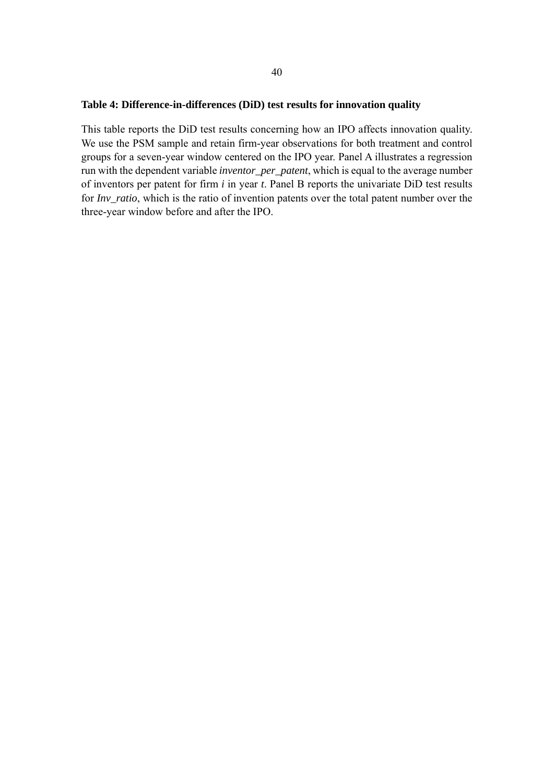#### **Table 4: Difference-in-differences (DiD) test results for innovation quality**

This table reports the DiD test results concerning how an IPO affects innovation quality. We use the PSM sample and retain firm-year observations for both treatment and control groups for a seven-year window centered on the IPO year. Panel A illustrates a regression run with the dependent variable *inventor\_per\_patent*, which is equal to the average number of inventors per patent for firm *i* in year *t*. Panel B reports the univariate DiD test results for *Inv\_ratio*, which is the ratio of invention patents over the total patent number over the three-year window before and after the IPO.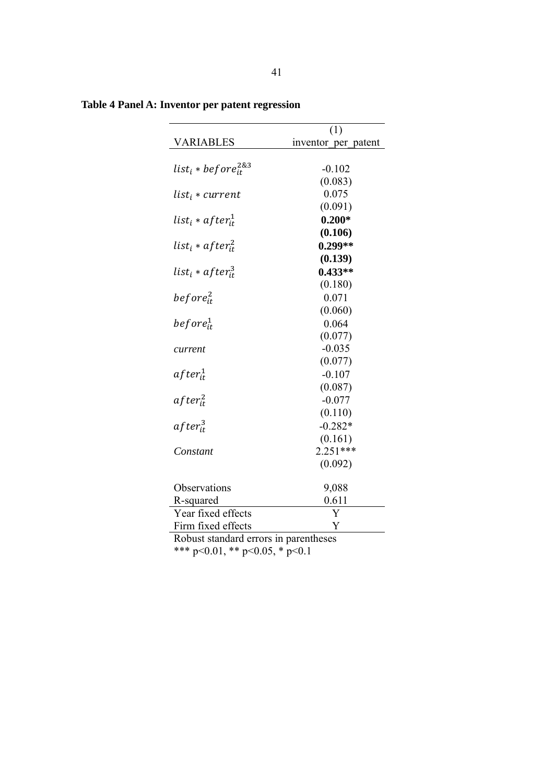|                                      | (1)                 |
|--------------------------------------|---------------------|
| <b>VARIABLES</b>                     | inventor per patent |
|                                      |                     |
| list $_i * before^{2\&3}_{it}$       | $-0.102$            |
|                                      | (0.083)             |
| list <sub>i</sub> * current          | 0.075               |
|                                      | (0.091)             |
| list $_i * after_{it}^1$             | $0.200*$            |
|                                      | (0.106)             |
| list <sub>i</sub> * af ter $_{it}^2$ | $0.299**$           |
|                                      | (0.139)             |
| list <sub>i</sub> * af ter $i_t^3$   | $0.433**$           |
|                                      | (0.180)             |
| before $_{it}^2$                     | 0.071               |
|                                      | (0.060)             |
| $before^1_{it}$                      | 0.064               |
|                                      | (0.077)             |
| current                              | $-0.035$            |
|                                      | (0.077)             |
| after <sub>it</sub> <sup>1</sup>     | $-0.107$            |
|                                      | (0.087)             |
| $after_{it}^2$                       | $-0.077$            |
|                                      | (0.110)             |
| $after_{it}^{3}$                     | $-0.282*$           |
|                                      | (0.161)             |
| Constant                             | $2.251***$          |
|                                      | (0.092)             |
|                                      |                     |
| Observations                         | 9,088               |
| R-squared                            | 0.611               |
| Year fixed effects                   | Y                   |
| Firm fixed effects                   | Y                   |

**Table 4 Panel A: Inventor per patent regression** 

Robust standard errors in parentheses

\*\*\* p<0.01, \*\* p<0.05, \* p<0.1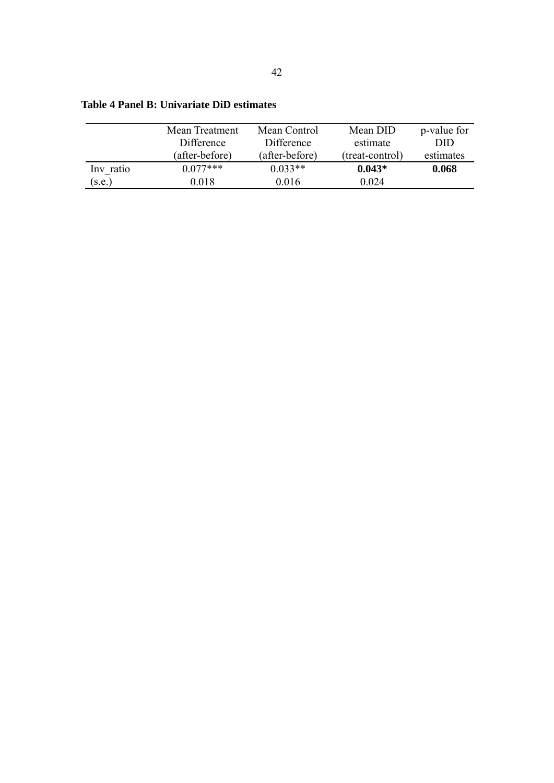|           | Mean Control<br>Mean Treatment |                | Mean DID        | p-value for |
|-----------|--------------------------------|----------------|-----------------|-------------|
|           | Difference                     | Difference     | estimate        | DID         |
|           | (after-before)                 | (after-before) | (treat-control) | estimates   |
| Inv ratio | $0.077***$                     | $0.033**$      | $0.043*$        | 0.068       |
| (s.e.)    | 0.018                          | 0.016          | 0.024           |             |

**Table 4 Panel B: Univariate DiD estimates**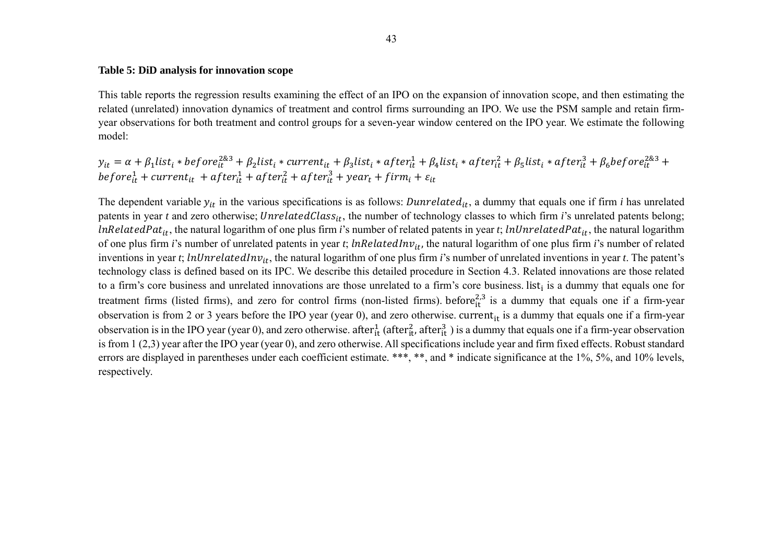#### **Table 5: DiD analysis for innovation scope**

This table reports the regression results examining the effect of an IPO on the expansion of innovation scope, and then estimating the related (unrelated) innovation dynamics of treatment and control firms surrounding an IPO. We use the PSM sample and retain firmyear observations for both treatment and control groups for a seven-year window centered on the IPO year. We estimate the following model:

$$
y_{it} = \alpha + \beta_1 list_i * before_{it}^{2\&3} + \beta_2 list_i * current_{it} + \beta_3 list_i * after_{it}^1 + \beta_4 list_i * after_{it}^2 + \beta_5 list_i * after_{it}^3 + \beta_6 before_{it}^{2\&3} + before_{it}^1 + current_{it} + after_{it}^1 + after_{it}^3 + after_{it}^3 + after_{it}^3 + after_{it}^3 + after_{it}^3 + after_{it}^3 + after_{it}^3 + after_{it}^3 + after_{it}^3 + after_{it}^3 + after_{it}^3 + after_{it}^3 + after_{it}^3 + after_{it}^3 + after_{it}^3 + after_{it}^3 + after_{it}^3 + after_{it}^3 + after_{it}^3 + after_{it}^3 + after_{it}^3 + after_{it}^3 + after_{it}^3 + after_{it}^3 + after_{it}^3 + after_{it}^3 + after_{it}^3 + after_{it}^3 + after_{it}^3 + after_{it}^3 + after_{it}^3 + after_{it}^3 + after_{it}^3 + after_{it}^3 + after_{it}^3 + after_{it}^3 + after_{it}^3 + after_{it}^3 + after_{it}^3 + after_{it}^3 + after_{it}^3 + after_{it}^3 + after_{it}^3 + after_{it}^3 + after_{it}^3 + after_{it}^3 + after_{it}^3 + after_{it}^3 + after_{it}^3 + after_{it}^3 + after_{it}^3 + after_{it}^3 + after_{it}^3 + after_{it}^3 + after_{it}^3 + after_{it}^3 + after_{it}^3 + after_{it}^3 + after_{it}^3 + after_{it}^3 + after_{it}^3 + after_{it}^3 + after_{it}^3 + after_{it}^3 + after_{it}^3 + after_{it}^3 + after_{it}^3 + after_{it}^3 + after_{it}^3 + after_{it}^3 + after_{it}^3 + after_{it}^3 + after_{it}^3 + after_{it}^3 + after_{it}^3 + after_{it}^3 + after_{it}^3 + after_{it}^3 + after_{it}^3 + after_{it}^3 + after_{it}^3 + after_{it}^3 + after_{it}^3 + after_{it}^3 + after_{it}^3 + after_{it}^3 + after_{it}^3 + after_{it}^3 + after_{it}^3 + after_{it}^3 + after_{it}^3 + after_{it}^3 + after
$$

The dependent variable  $y_{it}$  in the various specifications is as follows: *Dunrelated*<sub>it</sub>, a dummy that equals one if firm *i* has unrelated patents in year *t* and zero otherwise; *UnrelatedClass<sub>it</sub>*, the number of technology classes to which firm *i*'s unrelated patents belong; *lnRelatedPat<sub>it</sub>*, the natural logarithm of one plus firm *i*'s number of related patents in year *t*; *lnUnrelatedPat<sub>it</sub>*, the natural logarithm of one plus firm *i*'s number of unrelated patents in year *t*; *lnRelatedInv*<sub>it</sub>, the natural logarithm of one plus firm *i*'s number of related inventions in year *t*; *lnUnrelatedInv*<sub>it</sub>, the natural logarithm of one plus firm *i*'s number of unrelated inventions in year *t*. The patent's technology class is defined based on its IPC. We describe this detailed procedure in Section 4.3. Related innovations are those related to a firm's core business and unrelated innovations are those unrelated to a firm's core business. list<sub>i</sub> is a dummy that equals one for treatment firms (listed firms), and zero for control firms (non-listed firms). before $^{2,3}_{i}$  is a dummy that equals one if a firm-year observation is from 2 or 3 years before the IPO year (year 0), and zero otherwise. current<sub>it</sub> is a dummy that equals one if a firm-year observation is in the IPO year (year 0), and zero otherwise. after  $t_{it}^1$  (after  $t_{it}^3$ , after  $t_{it}^3$ ) is a dummy that equals one if a firm-year observation is from 1 (2,3) year after the IPO year (year 0), and zero otherwise. All specifications include year and firm fixed effects. Robust standard errors are displayed in parentheses under each coefficient estimate. \*\*\*, \*\*, and \* indicate significance at the 1%, 5%, and 10% levels, respectively.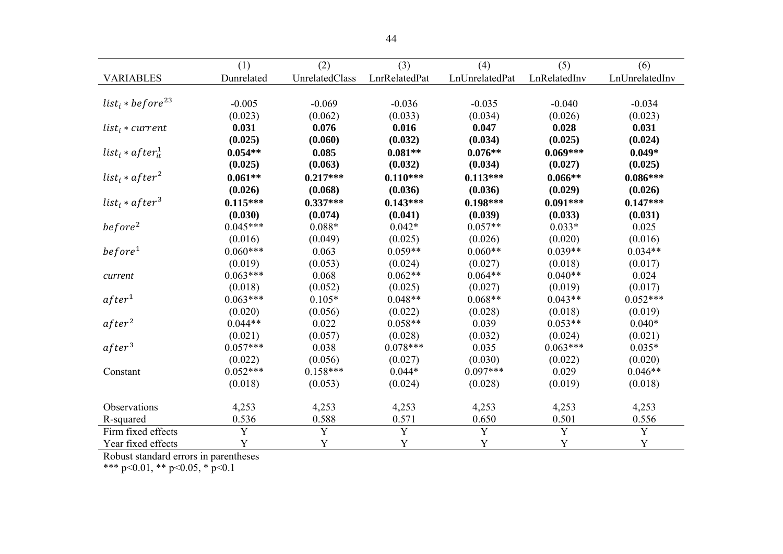|                                          | (1)         | (2)            | (3)           | (4)            | (5)          | (6)            |
|------------------------------------------|-------------|----------------|---------------|----------------|--------------|----------------|
| <b>VARIABLES</b>                         | Dunrelated  | UnrelatedClass | LnrRelatedPat | LnUnrelatedPat | LnRelatedInv | LnUnrelatedInv |
|                                          |             |                |               |                |              |                |
| list <sub>i</sub> * before <sup>23</sup> | $-0.005$    | $-0.069$       | $-0.036$      | $-0.035$       | $-0.040$     | $-0.034$       |
|                                          | (0.023)     | (0.062)        | (0.033)       | (0.034)        | (0.026)      | (0.023)        |
| $list_i * current$                       | 0.031       | 0.076          | 0.016         | 0.047          | 0.028        | 0.031          |
|                                          | (0.025)     | (0.060)        | (0.032)       | (0.034)        | (0.025)      | (0.024)        |
| $list_i * after_i^1$                     | $0.054**$   | 0.085          | $0.081**$     | $0.076**$      | $0.069***$   | $0.049*$       |
|                                          | (0.025)     | (0.063)        | (0.032)       | (0.034)        | (0.027)      | (0.025)        |
| $list_i * after^2$                       | $0.061**$   | $0.217***$     | $0.110***$    | $0.113***$     | $0.066**$    | $0.086***$     |
|                                          | (0.026)     | (0.068)        | (0.036)       | (0.036)        | (0.029)      | (0.026)        |
| $list_i * after^3$                       | $0.115***$  | $0.337***$     | $0.143***$    | $0.198***$     | $0.091***$   | $0.147***$     |
|                                          | (0.030)     | (0.074)        | (0.041)       | (0.039)        | (0.033)      | (0.031)        |
| before <sup>2</sup>                      | $0.045***$  | $0.088*$       | $0.042*$      | $0.057**$      | $0.033*$     | 0.025          |
|                                          | (0.016)     | (0.049)        | (0.025)       | (0.026)        | (0.020)      | (0.016)        |
| before <sup>1</sup>                      | $0.060***$  | 0.063          | $0.059**$     | $0.060**$      | $0.039**$    | $0.034**$      |
|                                          | (0.019)     | (0.053)        | (0.024)       | (0.027)        | (0.018)      | (0.017)        |
| current                                  | $0.063***$  | 0.068          | $0.062**$     | $0.064**$      | $0.040**$    | 0.024          |
|                                          | (0.018)     | (0.052)        | (0.025)       | (0.027)        | (0.019)      | (0.017)        |
| after <sup>1</sup>                       | $0.063***$  | $0.105*$       | $0.048**$     | $0.068**$      | $0.043**$    | $0.052***$     |
|                                          | (0.020)     | (0.056)        | (0.022)       | (0.028)        | (0.018)      | (0.019)        |
| after <sup>2</sup>                       | $0.044**$   | 0.022          | $0.058**$     | 0.039          | $0.053**$    | $0.040*$       |
|                                          | (0.021)     | (0.057)        | (0.028)       | (0.032)        | (0.024)      | (0.021)        |
| after <sup>3</sup>                       | $0.057***$  | 0.038          | $0.078***$    | 0.035          | $0.063***$   | $0.035*$       |
|                                          | (0.022)     | (0.056)        | (0.027)       | (0.030)        | (0.022)      | (0.020)        |
| Constant                                 | $0.052***$  | $0.158***$     | $0.044*$      | $0.097***$     | 0.029        | $0.046**$      |
|                                          | (0.018)     | (0.053)        | (0.024)       | (0.028)        | (0.019)      | (0.018)        |
| Observations                             | 4,253       | 4,253          | 4,253         | 4,253          | 4,253        | 4,253          |
| R-squared                                | 0.536       | 0.588          | 0.571         | 0.650          | 0.501        | 0.556          |
| Firm fixed effects                       | Y           | $\mathbf Y$    | $\mathbf Y$   | $\mathbf Y$    | $\mathbf Y$  | $\mathbf Y$    |
| Year fixed effects                       | $\mathbf Y$ | Y              | Y             | Y              | Y            | Y              |

Robust standard errors in parentheses

\*\*\* p<0.01, \*\* p<0.05, \* p<0.1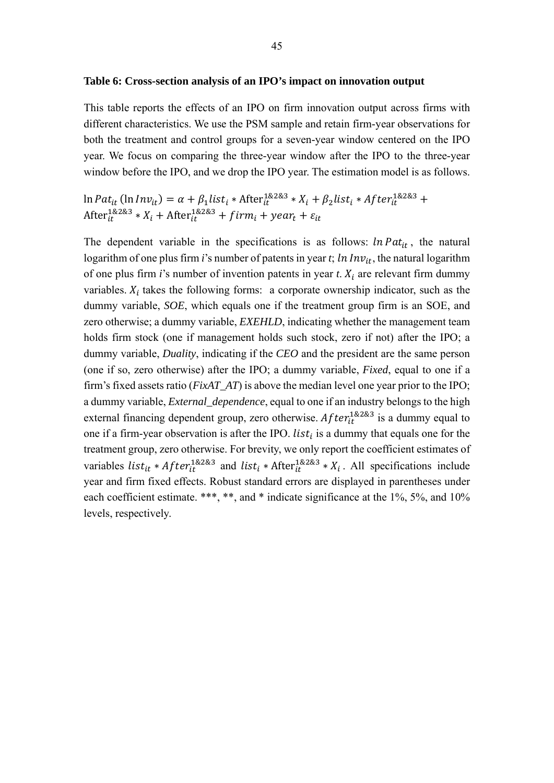#### **Table 6: Cross-section analysis of an IPO's impact on innovation output**

This table reports the effects of an IPO on firm innovation output across firms with different characteristics. We use the PSM sample and retain firm-year observations for both the treatment and control groups for a seven-year window centered on the IPO year. We focus on comparing the three-year window after the IPO to the three-year window before the IPO, and we drop the IPO year. The estimation model is as follows.

ln Pat<sub>it</sub> (ln Inv<sub>it</sub>) =  $\alpha + \beta_1$ list<sub>i</sub> \* After $i_t^{1\&2\&3}$  \*  $X_i + \beta_2$ list<sub>i</sub> \* After $i_t^{1\&2\&3}$  + After ${}^{1\&2\&3}_{it} * X_i + \text{After} {}^{1\&2\&3}_{it} + firm_i + year_t + \varepsilon_{it}$ 

The dependent variable in the specifications is as follows:  $ln Pat_{it}$ , the natural logarithm of one plus firm *i*'s number of patents in year *t*;  $ln Inv_{it}$ , the natural logarithm of one plus firm *i*'s number of invention patents in year *t*.  $X_i$  are relevant firm dummy variables.  $X_i$  takes the following forms: a corporate ownership indicator, such as the dummy variable, *SOE*, which equals one if the treatment group firm is an SOE, and zero otherwise; a dummy variable, *EXEHLD*, indicating whether the management team holds firm stock (one if management holds such stock, zero if not) after the IPO; a dummy variable, *Duality*, indicating if the *CEO* and the president are the same person (one if so, zero otherwise) after the IPO; a dummy variable, *Fixed*, equal to one if a firm's fixed assets ratio (*FixAT\_AT*) is above the median level one year prior to the IPO; a dummy variable, *External\_dependence*, equal to one if an industry belongs to the high external financing dependent group, zero otherwise.  $After_{it}^{18283}$  is a dummy equal to one if a firm-year observation is after the IPO. *list<sub>i</sub>* is a dummy that equals one for the treatment group, zero otherwise. For brevity, we only report the coefficient estimates of variables *list<sub>it</sub>* \* *After*<sup>1&2&3</sup> and *list*<sub>*i*</sub> \* After<sup>1&2&3</sup> \*  $X_i$ . All specifications include year and firm fixed effects. Robust standard errors are displayed in parentheses under each coefficient estimate. \*\*\*, \*\*, and \* indicate significance at the 1%, 5%, and 10% levels, respectively.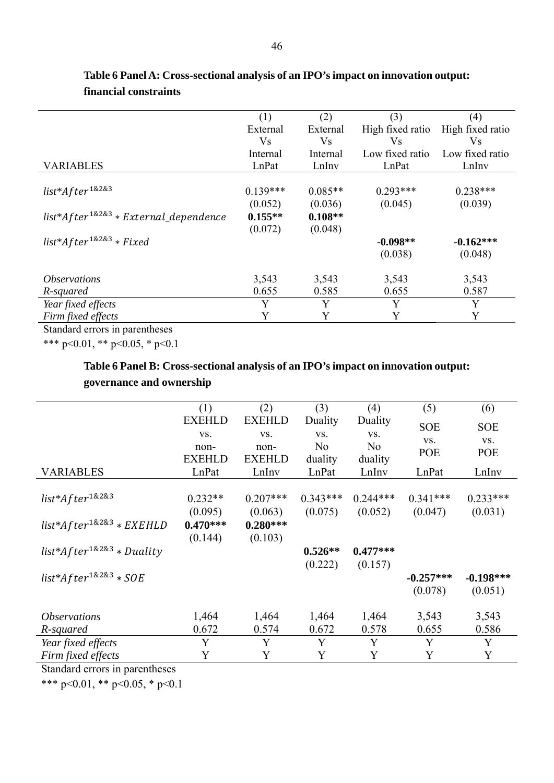|            |           |                  | (4)              |
|------------|-----------|------------------|------------------|
| External   | External  | High fixed ratio | High fixed ratio |
| <b>Vs</b>  | <b>Vs</b> | <b>Vs</b>        | <b>Vs</b>        |
| Internal   | Internal  | Low fixed ratio  | Low fixed ratio  |
| LnPat      | LnInv     | LnPat            | LnIny            |
|            |           |                  |                  |
| $0.139***$ | $0.085**$ | $0.293***$       | $0.238***$       |
| (0.052)    | (0.036)   | (0.045)          | (0.039)          |
| $0.155**$  | $0.108**$ |                  |                  |
| (0.072)    | (0.048)   |                  |                  |
|            |           | $-0.098**$       | $-0.162***$      |
|            |           | (0.038)          | (0.048)          |
| 3,543      | 3,543     | 3,543            | 3,543            |
| 0.655      | 0.585     | 0.655            | 0.587            |
| Y          | Y         | Y                | Y                |
| Y          | Y         | Y                | Y                |
|            | (1)       | (2)              | (3)              |

## **Table 6 Panel A: Cross-sectional analysis of an IPO's impact on innovation output: financial constraints**

Standard errors in parentheses

\*\*\* p<0.01, \*\* p<0.05, \* p<0.1

## **Table 6 Panel B: Cross-sectional analysis of an IPO's impact on innovation output: governance and ownership**

|                                  | (1)                   | (2)                   | (3)              | (4)              | (5)         | (6)         |
|----------------------------------|-----------------------|-----------------------|------------------|------------------|-------------|-------------|
|                                  | <b>EXEHLD</b>         | <b>EXEHLD</b>         | Duality          | Duality          | <b>SOE</b>  | <b>SOE</b>  |
|                                  | VS.                   | VS.                   | VS.              | VS.              | VS.         | VS.         |
|                                  | non-<br><b>EXEHLD</b> | non-<br><b>EXEHLD</b> | N <sub>0</sub>   | N <sub>o</sub>   | <b>POE</b>  | POE         |
| <b>VARIABLES</b>                 | LnPat                 | LnInv                 | duality<br>LnPat | duality<br>LnInv | LnPat       | LnInv       |
|                                  |                       |                       |                  |                  |             |             |
| $list*After^{1&2&3}$             | $0.232**$             | $0.207***$            | $0.343***$       | $0.244***$       | $0.341***$  | $0.233***$  |
|                                  | (0.095)               | (0.063)               | (0.075)          | (0.052)          | (0.047)     | (0.031)     |
| $list*After^{1\&2\&3}*EXEHLD$    | $0.470***$            | $0.280***$            |                  |                  |             |             |
|                                  | (0.144)               | (0.103)               |                  |                  |             |             |
| $list*After^{1\&2\&3} * Duality$ |                       |                       | $0.526**$        | $0.477***$       |             |             |
|                                  |                       |                       | (0.222)          | (0.157)          |             |             |
| $list*After^{1\&2\&3} * SOE$     |                       |                       |                  |                  | $-0.257***$ | $-0.198***$ |
|                                  |                       |                       |                  |                  | (0.078)     | (0.051)     |
| <i><b>Observations</b></i>       | 1,464                 | 1,464                 | 1,464            | 1,464            | 3,543       | 3,543       |
| R-squared                        | 0.672                 | 0.574                 | 0.672            | 0.578            | 0.655       | 0.586       |
| Year fixed effects               | Y                     | Y                     | Y                | Y                | Y           | Y           |
| Firm fixed effects               | Y                     | Y                     | Y                | Y                | Y           | Y           |

Standard errors in parentheses

\*\*\* p<0.01, \*\* p<0.05, \* p<0.1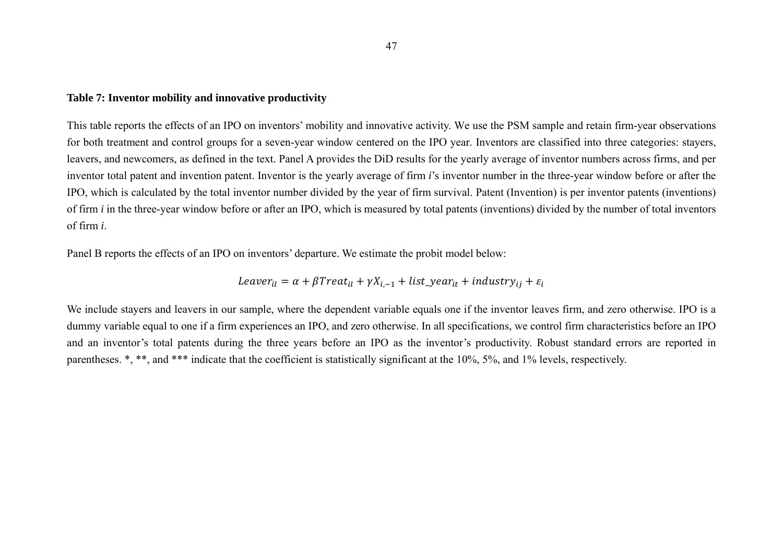#### **Table 7: Inventor mobility and innovative productivity**

This table reports the effects of an IPO on inventors' mobility and innovative activity. We use the PSM sample and retain firm-year observations for both treatment and control groups for a seven-year window centered on the IPO year. Inventors are classified into three categories: stayers, leavers, and newcomers, as defined in the text. Panel A provides the DiD results for the yearly average of inventor numbers across firms, and per inventor total patent and invention patent. Inventor is the yearly average of firm *i*'s inventor number in the three-year window before or after the IPO, which is calculated by the total inventor number divided by the year of firm survival. Patent (Invention) is per inventor patents (inventions) of firm *i* in the three-year window before or after an IPO, which is measured by total patents (inventions) divided by the number of total inventors of firm *i*.

Panel B reports the effects of an IPO on inventors' departure. We estimate the probit model below:

$$
Leaver_{il} = \alpha + \beta Treat_{il} + \gamma X_{i, -1} + list\_year_{it} + industry_{ij} + \varepsilon_i
$$

We include stayers and leavers in our sample, where the dependent variable equals one if the inventor leaves firm, and zero otherwise. IPO is a dummy variable equal to one if a firm experiences an IPO, and zero otherwise. In all specifications, we control firm characteristics before an IPO and an inventor's total patents during the three years before an IPO as the inventor's productivity. Robust standard errors are reported in parentheses. \*, \*\*, and \*\*\* indicate that the coefficient is statistically significant at the 10%, 5%, and 1% levels, respectively.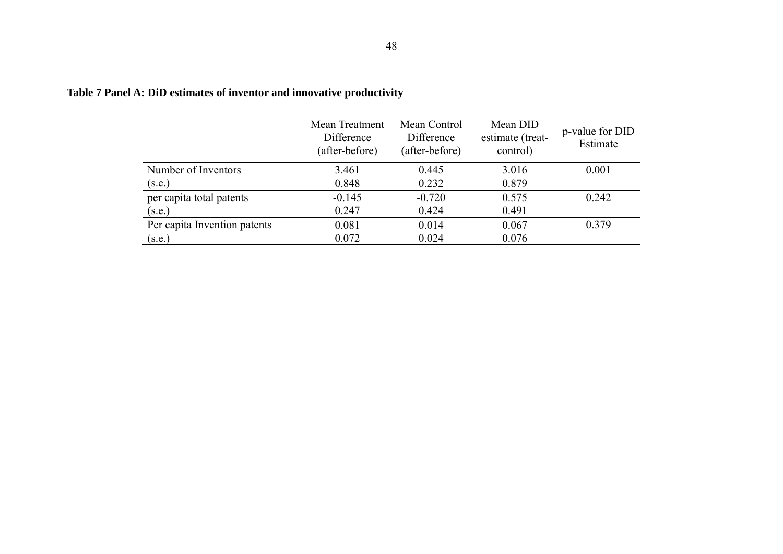|                              | Mean Treatment<br>Difference<br>(after-before) | Mean Control<br>Difference<br>(after-before) | Mean DID<br>estimate (treat-<br>control) | p-value for DID<br>Estimate |
|------------------------------|------------------------------------------------|----------------------------------------------|------------------------------------------|-----------------------------|
| Number of Inventors          | 3.461                                          | 0.445                                        | 3.016                                    | 0.001                       |
| (s.e.)                       | 0.848                                          | 0.232                                        | 0.879                                    |                             |
| per capita total patents     | $-0.145$                                       | $-0.720$                                     | 0.575                                    | 0.242                       |
| (s.e.)                       | 0.247                                          | 0.424                                        | 0.491                                    |                             |
| Per capita Invention patents | 0.081                                          | 0.014                                        | 0.067                                    | 0.379                       |
| (s.e.)                       | 0.072                                          | 0.024                                        | 0.076                                    |                             |

## **Table 7 Panel A: DiD estimates of inventor and innovative productivity**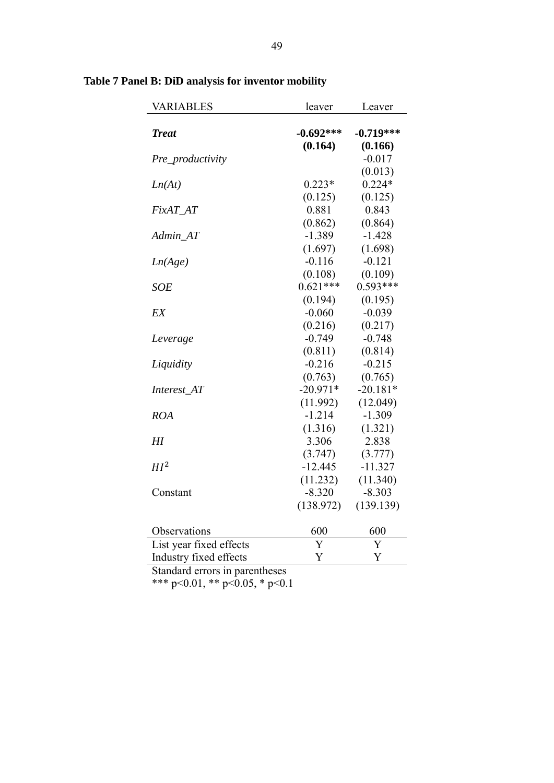| <b>VARIABLES</b>        | leaver      | Leaver      |
|-------------------------|-------------|-------------|
| <b>Treat</b>            | $-0.692***$ | $-0.719***$ |
|                         | (0.164)     | (0.166)     |
| Pre_productivity        |             | $-0.017$    |
|                         |             | (0.013)     |
| Ln(At)                  | $0.223*$    | $0.224*$    |
|                         | (0.125)     | (0.125)     |
| FixAT_AT                | 0.881       | 0.843       |
|                         | (0.862)     | (0.864)     |
| Admin_AT                | $-1.389$    | $-1.428$    |
|                         | (1.697)     | (1.698)     |
| Ln(Age)                 | $-0.116$    | $-0.121$    |
|                         | (0.108)     | (0.109)     |
| <b>SOE</b>              | $0.621***$  | $0.593***$  |
|                         | (0.194)     | (0.195)     |
| EX                      | $-0.060$    | $-0.039$    |
|                         | (0.216)     | (0.217)     |
| Leverage                | $-0.749$    | $-0.748$    |
|                         | (0.811)     | (0.814)     |
| Liquidity               | $-0.216$    | $-0.215$    |
|                         | (0.763)     | (0.765)     |
| Interest_AT             | $-20.971*$  | $-20.181*$  |
|                         | (11.992)    | (12.049)    |
| <b>ROA</b>              | $-1.214$    | $-1.309$    |
|                         | (1.316)     | (1.321)     |
| $H$ I                   | 3.306       | 2.838       |
|                         | (3.747)     | (3.777)     |
| HI <sup>2</sup>         | $-12.445$   | $-11.327$   |
|                         | (11.232)    | (11.340)    |
| Constant                | $-8.320$    | $-8.303$    |
|                         | (138.972)   | (139.139)   |
| Observations            | 600         | 600         |
| List year fixed effects | Ý           | Y           |
| Industry fixed effects  | Y           | Y           |
|                         |             |             |

## **Table 7 Panel B: DiD analysis for inventor mobility**

Standard errors in parentheses

\*\*\* p<0.01, \*\* p<0.05, \* p<0.1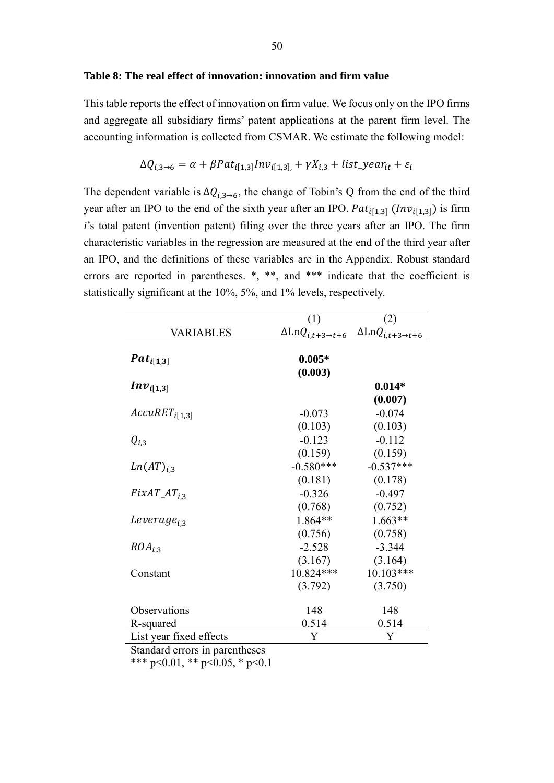#### **Table 8: The real effect of innovation: innovation and firm value**

This table reports the effect of innovation on firm value. We focus only on the IPO firms and aggregate all subsidiary firms' patent applications at the parent firm level. The accounting information is collected from CSMAR. We estimate the following model:

$$
\Delta Q_{i,3\rightarrow 6} = \alpha + \beta Pat_{i[1,3]}Inv_{i[1,3]} + \gamma X_{i,3} + list\_year_{it} + \varepsilon_i
$$

The dependent variable is  $\Delta Q_{i,3\rightarrow 6}$ , the change of Tobin's Q from the end of the third year after an IPO to the end of the sixth year after an IPO.  $Pat_{i[1,3]}$  ( $Inv_{i[1,3]}$ ) is firm *i*'s total patent (invention patent) filing over the three years after an IPO. The firm characteristic variables in the regression are measured at the end of the third year after an IPO, and the definitions of these variables are in the Appendix. Robust standard errors are reported in parentheses. \*, \*\*, and \*\*\* indicate that the coefficient is statistically significant at the 10%, 5%, and 1% levels, respectively.

|                                      | (1)                                                                  | (2)                                         |
|--------------------------------------|----------------------------------------------------------------------|---------------------------------------------|
| <b>VARIABLES</b>                     | $\Delta \text{Ln} Q_{i, \underline{t+3}\rightarrow \underline{t+6}}$ | $\Delta \text{Ln} Q_{i,t+3\rightarrow t+6}$ |
| $Pat_{i[1,3]}$                       | $0.005*$<br>(0.003)                                                  |                                             |
| $Inv_{i[1,3]}$                       |                                                                      | $0.014*$<br>(0.007)                         |
| $Accuracy_{i[1,3]}$                  | $-0.073$<br>(0.103)                                                  | $-0.074$<br>(0.103)                         |
| $Q_{i,3}$                            | $-0.123$<br>(0.159)                                                  | $-0.112$<br>(0.159)                         |
| $Ln(AT)_{i,3}$                       | $-0.580***$<br>(0.181)                                               | $-0.537***$<br>(0.178)                      |
| $FixAT\_AT_{i.3}$                    | $-0.326$<br>(0.768)                                                  | $-0.497$<br>(0.752)                         |
| $Leverage_{i,3}$                     | 1.864**                                                              | $1.663**$                                   |
| $ROA_{i,3}$                          | (0.756)<br>$-2.528$                                                  | (0.758)<br>$-3.344$                         |
| Constant                             | (3.167)<br>10.824***<br>(3.792)                                      | (3.164)<br>10.103***<br>(3.750)             |
| Observations                         | 148                                                                  | 148                                         |
| R-squared<br>List year fixed effects | 0.514<br>Y                                                           | 0.514<br>Y                                  |
| Standard errors in parentheses       |                                                                      |                                             |

\*\*\* p<0.01, \*\* p<0.05, \* p<0.1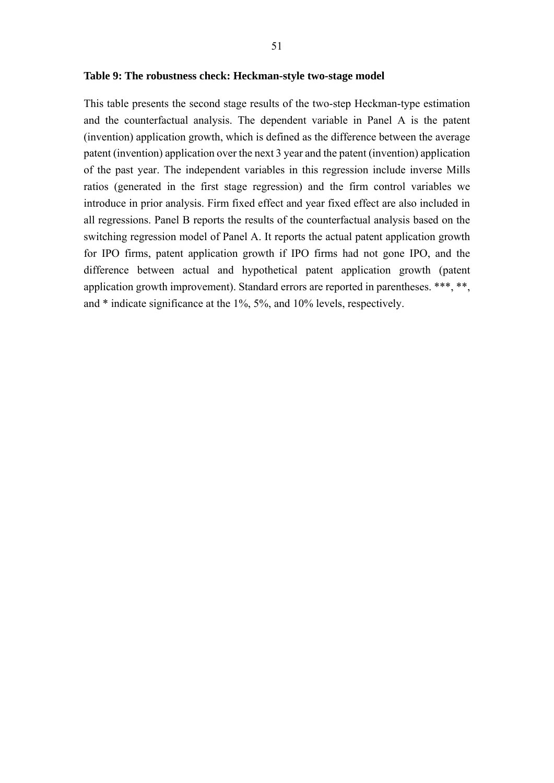#### **Table 9: The robustness check: Heckman-style two-stage model**

This table presents the second stage results of the two-step Heckman-type estimation and the counterfactual analysis. The dependent variable in Panel A is the patent (invention) application growth, which is defined as the difference between the average patent (invention) application over the next 3 year and the patent (invention) application of the past year. The independent variables in this regression include inverse Mills ratios (generated in the first stage regression) and the firm control variables we introduce in prior analysis. Firm fixed effect and year fixed effect are also included in all regressions. Panel B reports the results of the counterfactual analysis based on the switching regression model of Panel A. It reports the actual patent application growth for IPO firms, patent application growth if IPO firms had not gone IPO, and the difference between actual and hypothetical patent application growth (patent application growth improvement). Standard errors are reported in parentheses. \*\*\*, \*\*, and \* indicate significance at the 1%, 5%, and 10% levels, respectively.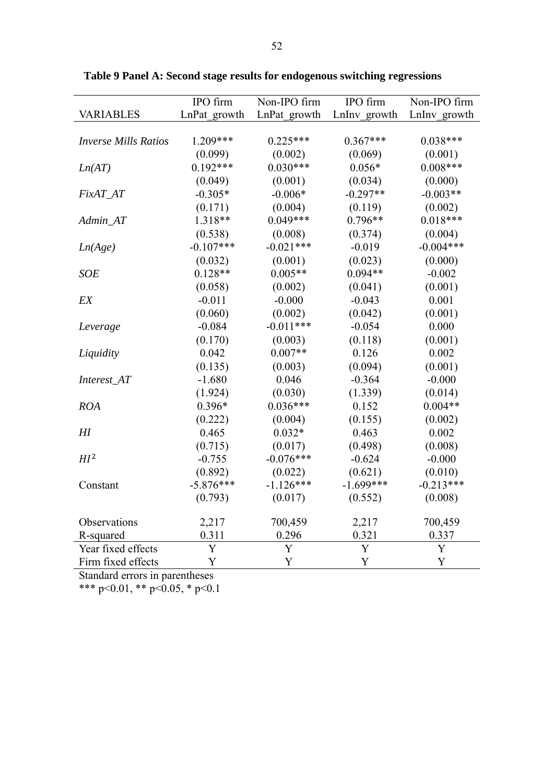|                             | IPO firm     | Non-IPO firm | IPO firm     | Non-IPO firm |
|-----------------------------|--------------|--------------|--------------|--------------|
| <b>VARIABLES</b>            | LnPat growth | LnPat growth | LnInv_growth | LnInv growth |
|                             |              |              |              |              |
| <b>Inverse Mills Ratios</b> | 1.209***     | $0.225***$   | $0.367***$   | $0.038***$   |
|                             | (0.099)      | (0.002)      | (0.069)      | (0.001)      |
| Ln(AT)                      | $0.192***$   | $0.030***$   | $0.056*$     | $0.008***$   |
|                             | (0.049)      | (0.001)      | (0.034)      | (0.000)      |
| FixAT_AT                    | $-0.305*$    | $-0.006*$    | $-0.297**$   | $-0.003**$   |
|                             | (0.171)      | (0.004)      | (0.119)      | (0.002)      |
| Admin_AT                    | 1.318**      | $0.049***$   | $0.796**$    | $0.018***$   |
|                             | (0.538)      | (0.008)      | (0.374)      | (0.004)      |
| Ln(Age)                     | $-0.107***$  | $-0.021***$  | $-0.019$     | $-0.004***$  |
|                             | (0.032)      | (0.001)      | (0.023)      | (0.000)      |
| <b>SOE</b>                  | $0.128**$    | $0.005**$    | $0.094**$    | $-0.002$     |
|                             | (0.058)      | (0.002)      | (0.041)      | (0.001)      |
| EX                          | $-0.011$     | $-0.000$     | $-0.043$     | 0.001        |
|                             | (0.060)      | (0.002)      | (0.042)      | (0.001)      |
| Leverage                    | $-0.084$     | $-0.011***$  | $-0.054$     | 0.000        |
|                             | (0.170)      | (0.003)      | (0.118)      | (0.001)      |
| Liquidity                   | 0.042        | $0.007**$    | 0.126        | 0.002        |
|                             | (0.135)      | (0.003)      | (0.094)      | (0.001)      |
| Interest_AT                 | $-1.680$     | 0.046        | $-0.364$     | $-0.000$     |
|                             | (1.924)      | (0.030)      | (1.339)      | (0.014)      |
| <b>ROA</b>                  | $0.396*$     | $0.036***$   | 0.152        | $0.004**$    |
|                             | (0.222)      | (0.004)      | (0.155)      | (0.002)      |
| H                           | 0.465        | $0.032*$     | 0.463        | 0.002        |
|                             | (0.715)      | (0.017)      | (0.498)      | (0.008)      |
| HI <sup>2</sup>             | $-0.755$     | $-0.076***$  | $-0.624$     | $-0.000$     |
|                             | (0.892)      | (0.022)      | (0.621)      | (0.010)      |
| Constant                    | $-5.876***$  | $-1.126***$  | $-1.699***$  | $-0.213***$  |
|                             | (0.793)      | (0.017)      | (0.552)      | (0.008)      |
| Observations                | 2,217        | 700,459      | 2,217        | 700,459      |
| R-squared                   | 0.311        | 0.296        | 0.321        | 0.337        |
| Year fixed effects          | Y            | Y            | Y            | Y            |
| Firm fixed effects          | Y            | Y            | Y            | Y            |

**Table 9 Panel A: Second stage results for endogenous switching regressions** 

Standard errors in parentheses

\*\*\* p<0.01, \*\* p<0.05, \* p<0.1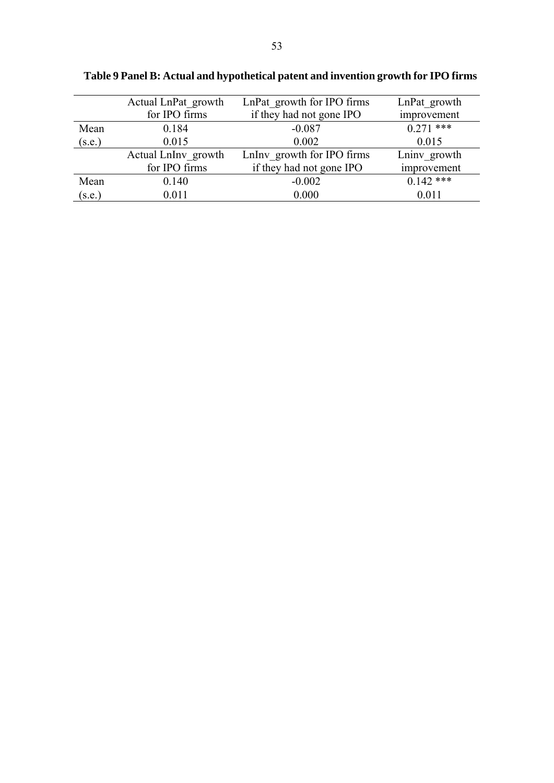|        | Actual LnPat growth | LnPat growth for IPO firms | LnPat growth |
|--------|---------------------|----------------------------|--------------|
|        | for IPO firms       | if they had not gone IPO   | improvement  |
| Mean   | 0.184               | $-0.087$                   | $0.271$ ***  |
| (s.e.) | 0.015               | 0.002                      | 0.015        |
|        | Actual LnInv growth | LnInv growth for IPO firms | Lniny growth |
|        | for IPO firms       | if they had not gone IPO   | improvement  |
| Mean   | 0.140               | $-0.002$                   | $0.142$ ***  |
| (s.e.) | 0.011               | 0.000                      | 0.011        |

**Table 9 Panel B: Actual and hypothetical patent and invention growth for IPO firms**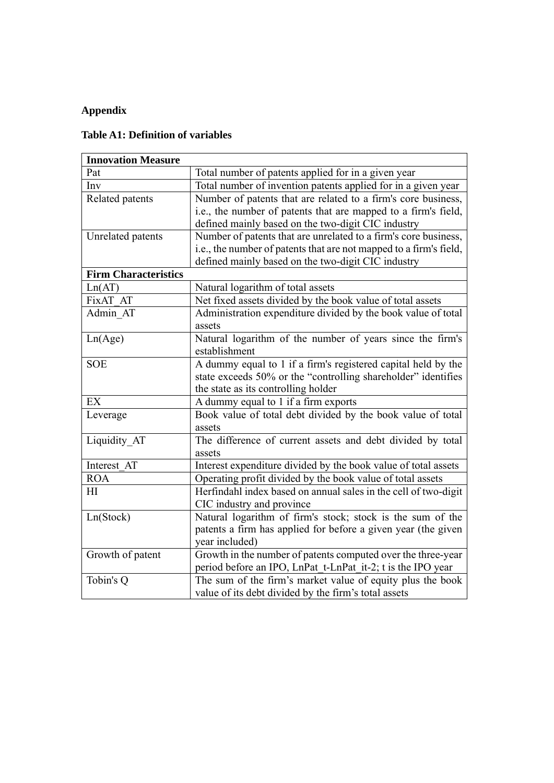## **Appendix**

## **Table A1: Definition of variables**

| <b>Innovation Measure</b>   |                                                                    |
|-----------------------------|--------------------------------------------------------------------|
| Pat                         | Total number of patents applied for in a given year                |
| Inv                         | Total number of invention patents applied for in a given year      |
| Related patents             | Number of patents that are related to a firm's core business,      |
|                             | i.e., the number of patents that are mapped to a firm's field,     |
|                             | defined mainly based on the two-digit CIC industry                 |
| Unrelated patents           | Number of patents that are unrelated to a firm's core business,    |
|                             | i.e., the number of patents that are not mapped to a firm's field, |
|                             | defined mainly based on the two-digit CIC industry                 |
| <b>Firm Characteristics</b> |                                                                    |
| Ln(AT)                      | Natural logarithm of total assets                                  |
| FixAT AT                    | Net fixed assets divided by the book value of total assets         |
| Admin AT                    | Administration expenditure divided by the book value of total      |
|                             | assets                                                             |
| Ln(Age)                     | Natural logarithm of the number of years since the firm's          |
|                             | establishment                                                      |
| <b>SOE</b>                  | A dummy equal to 1 if a firm's registered capital held by the      |
|                             | state exceeds 50% or the "controlling shareholder" identifies      |
|                             | the state as its controlling holder                                |
| EX                          | A dummy equal to 1 if a firm exports                               |
| Leverage                    | Book value of total debt divided by the book value of total        |
|                             | assets                                                             |
| Liquidity AT                | The difference of current assets and debt divided by total         |
|                             | assets                                                             |
| Interest AT                 | Interest expenditure divided by the book value of total assets     |
| <b>ROA</b>                  | Operating profit divided by the book value of total assets         |
| HI                          | Herfindahl index based on annual sales in the cell of two-digit    |
|                             | CIC industry and province                                          |
| Ln(Stock)                   | Natural logarithm of firm's stock; stock is the sum of the         |
|                             | patents a firm has applied for before a given year (the given      |
|                             | year included)                                                     |
| Growth of patent            | Growth in the number of patents computed over the three-year       |
|                             | period before an IPO, LnPat t-LnPat it-2; t is the IPO year        |
| Tobin's Q                   | The sum of the firm's market value of equity plus the book         |
|                             | value of its debt divided by the firm's total assets               |